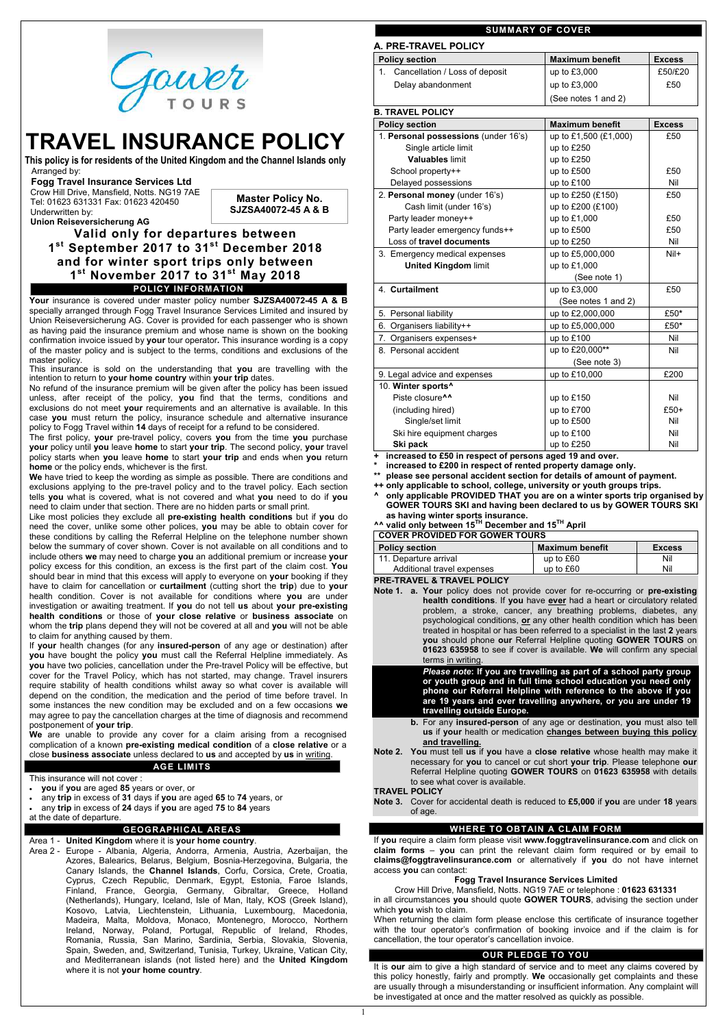

# **TRAVEL INSURANCE POLICY**

**This policy is for residents of the United Kingdom and the Channel Islands only** Arranged by:

#### **Fogg Travel Insurance Services Ltd**

 Crow Hill Drive, Mansfield, Notts. NG19 7AE Tel: 01623 631331 Fax: 01623 420450 Underwritten by:

 **Union Reiseversicherung AG**

**Valid only for departures between 1 st September 2017 to 31st December 2018 and for winter sport trips only between 1 st November 2017 to 31st May 2018 POLICY INFORMATION**

**Your** insurance is covered under master policy number **SJZSA40072-45 A & B** specially arranged through Fogg Travel Insurance Services Limited and insured by Union Reiseversicherung AG. Cover is provided for each passenger who is shown as having paid the insurance premium and whose name is shown on the booking confirmation invoice issued by **your** tour operator*.* This insurance wording is a copy of the master policy and is subject to the terms, conditions and exclusions of the master policy.

This insurance is sold on the understanding that **you** are travelling with the intention to return to **your home country** within **your trip** dates.

No refund of the insurance premium will be given after the policy has been issued unless, after receipt of the policy, **you** find that the terms, conditions and exclusions do not meet **your** requirements and an alternative is available. In this case **you** must return the policy, insurance schedule and alternative insurance policy to Fogg Travel within **14** days of receipt for a refund to be considered.

The first policy, **your** pre-travel policy, covers **you** from the time **you** purchase **your** policy until **you** leave **home** to start **your trip**. The second policy, **your** travel policy starts when **you** leave **home** to start **your trip** and ends when **you** return **home** or the policy ends, whichever is the first.

**We** have tried to keep the wording as simple as possible. There are conditions and exclusions applying to the pre-travel policy and to the travel policy. Each section tells **you** what is covered, what is not covered and what **you** need to do if **you** need to claim under that section. There are no hidden parts or small print.

Like most policies they exclude all **pre-existing health conditions** but if **you** do need the cover, unlike some other polices, **you** may be able to obtain cover for these conditions by calling the Referral Helpline on the telephone number shown below the summary of cover shown. Cover is not available on all conditions and to include others **we** may need to charge **you** an additional premium or increase **your** policy excess for this condition, an excess is the first part of the claim cost. **You** should bear in mind that this excess will apply to everyone on **your** booking if they have to claim for cancellation or **curtailment** (cutting short the **trip**) due to **your** health condition. Cover is not available for conditions where **you** are under investigation or awaiting treatment. If **you** do not tell **us** about **your pre-existing health conditions** or those of **your close relative** or **business associate** on whom the **trip** plans depend they will not be covered at all and **you** will not be able to claim for anything caused by them.

If **your** health changes (for any **insured-person** of any age or destination) after **you** have bought the policy **you** must call the Referral Helpline immediately. As **you** have two policies, cancellation under the Pre-travel Policy will be effective, but cover for the Travel Policy, which has not started, may change. Travel insurers require stability of health conditions whilst away so what cover is available will depend on the condition, the medication and the period of time before travel. In some instances the new condition may be excluded and on a few occasions **we** may agree to pay the cancellation charges at the time of diagnosis and recommend postponement of **your trip**.

**We** are unable to provide any cover for a claim arising from a recognised complication of a known **pre-existing medical condition** of a **close relative** or a close **business associate** unless declared to **us** and accepted by **us** in writing.

#### **AGE LIMITS**

This insurance will not cover :

- **you** if **you** are aged **85** years or over, or
- any **trip** in excess of **31** days if **you** are aged **65** to **74** years, or
- any **trip** in excess of **24** days if **you** are aged **75** to **84** years at the date of departure.

#### **GEOGRAPHICAL AREAS**

Area 1 - **United Kingdom** where it is **your home country**.

Area 2 - Europe - Albania, Algeria, Andorra, Armenia, Austria, Azerbaijan, the Azores, Balearics, Belarus, Belgium, Bosnia-Herzegovina, Bulgaria, the Canary Islands, the **Channel Islands**, Corfu, Corsica, Crete, Croatia, Cyprus, Czech Republic, Denmark, Egypt, Estonia, Faroe Islands, Finland, France, Georgia, Germany, Gibraltar, Greece, Holland (Netherlands), Hungary, Iceland, Isle of Man, Italy, KOS (Greek Island), Kosovo, Latvia, Liechtenstein, Lithuania, Luxembourg, Macedonia, Madeira, Malta, Moldova, Monaco, Montenegro, Morocco, Northern Ireland, Norway, Poland, Portugal, Republic of Ireland, Rhodes, Romania, Russia, San Marino, Sardinia, Serbia, Slovakia, Slovenia, Spain, Sweden, and, Switzerland, Tunisia, Turkey, Ukraine, Vatican City, and Mediterranean islands (not listed here) and the **United Kingdom** where it is not **your home country**.

#### **SUMMARY OF COVER**

| A. PRE-TRAVEL POLICY                 |                        |               |  |  |
|--------------------------------------|------------------------|---------------|--|--|
| <b>Policy section</b>                | <b>Maximum benefit</b> | <b>Excess</b> |  |  |
| Cancellation / Loss of deposit<br>1. | up to £3,000           | £50/£20       |  |  |
| Delay abandonment                    | up to £3,000           | £50           |  |  |
|                                      | (See notes 1 and 2)    |               |  |  |
| <b>B. TRAVEL POLICY</b>              |                        |               |  |  |
| <b>Policy section</b>                | <b>Maximum benefit</b> | <b>Excess</b> |  |  |
| 1. Personal possessions (under 16's) | up to £1,500 (£1,000)  | £50           |  |  |
| Single article limit                 | up to £250             |               |  |  |
| <b>Valuables limit</b>               | up to £250             |               |  |  |
| School property++                    | up to £500             | £50           |  |  |
| Delayed possessions                  | up to £100             | Nil           |  |  |
| 2. Personal money (under 16's)       | up to £250 (£150)      | £50           |  |  |
| Cash limit (under 16's)              | up to £200 (£100)      |               |  |  |
| Party leader money++                 | up to £1,000           | £50           |  |  |
| Party leader emergency funds++       | up to £500             | £50           |  |  |
| Loss of travel documents             | up to £250             | Nil           |  |  |
| 3. Emergency medical expenses        | up to £5,000,000       | Nil+          |  |  |
| <b>United Kingdom limit</b>          | up to £1,000           |               |  |  |
|                                      | (See note 1)           |               |  |  |
| 4. Curtailment                       | up to £3,000           | £50           |  |  |
|                                      | (See notes 1 and 2)    |               |  |  |
| 5. Personal liability                | up to £2,000,000       | £50*          |  |  |
| 6. Organisers liability++            | up to £5,000,000       | £50*          |  |  |
| 7. Organisers expenses+              | up to £100             | Nil           |  |  |
| 8. Personal accident                 | up to £20,000**        | Nil           |  |  |
|                                      | (See note 3)           |               |  |  |
| 9. Legal advice and expenses         | up to £10,000          | £200          |  |  |
| 10. Winter sports <sup>^</sup>       |                        |               |  |  |
| Piste closure <sup>^^</sup>          | up to £150             | Nil           |  |  |
| (including hired)                    | up to £700             | £50+          |  |  |
| Single/set limit                     | up to £500             | Nil           |  |  |
| Ski hire equipment charges           | up to £100             | Nil           |  |  |
| Ski pack                             | up to £250             | Nil           |  |  |

**+ increased to £50 in respect of persons aged 19 and over.**

increased to £200 in respect of rented property damage only.

**\*\* please see personal accident section for details of amount of payment.**

**++ only applicable to school, college, university or youth groups trips***.*

**^ only applicable PROVIDED THAT you are on a winter sports trip organised by GOWER TOURS SKI and having been declared to us by GOWER TOURS SKI as having winter sports insurance.**

**^^ valid only between 15TH December and 15TH April**

| <b>COVER PROVIDED FOR GOWER TOURS</b> |                        |               |  |  |
|---------------------------------------|------------------------|---------------|--|--|
| <b>Policy section</b>                 | <b>Maximum benefit</b> | <b>Excess</b> |  |  |
| 11. Departure arrival                 | up to $£60$            | Nil           |  |  |
| Additional travel expenses            | up to £60              | Nil           |  |  |
|                                       |                        |               |  |  |

**PRE-TRAVEL & TRAVEL POLICY**

**Note 1. a. Your** policy does not provide cover for re-occurring or **pre-existing health conditions**. If **you** have **ever** had a heart or circulatory related problem, a stroke, cancer, any breathing problems, diabetes, any psychological conditions, **or** any other health condition which has been treated in hospital or has been referred to a specialist in the last **2** years **you** should phone **our** Referral Helpline quoting **GOWER TOURS** on **01623 635958** to see if cover is available. **We** will confirm any special terms in writing.

> *Please note***: If you are travelling as part of a school party group or youth group and in full time school education you need only phone our Referral Helpline with reference to the above if you are 19 years and over travelling anywhere, or you are under 19 travelling outside Europe.**

- **b.** For any **insured-person** of any age or destination, **you** must also tell **us** if **your** health or medication **changes between buying this policy and travelling.**
- **Note 2. You** must tell **us** if **you** have a **close relative** whose health may make it necessary for **you** to cancel or cut short **your trip**. Please telephone **our** Referral Helpline quoting **GOWER TOURS** on **01623 635958** with details

to see what cover is available.

#### **TRAVEL POLICY**

**Note 3.** Cover for accidental death is reduced to **£5,000** if **you** are under **18** years of age.

### **WHERE TO OBTAIN A CLAIM FORM**

If **you** require a claim form please visit **www.foggtravelinsurance.com** and click on **claim forms** – **you** can print the relevant claim form required or by email to **claims@foggtravelinsurance.com** or alternatively if **you** do not have internet access **you** can contact:

#### **Fogg Travel Insurance Services Limited**

Crow Hill Drive, Mansfield, Notts. NG19 7AE or telephone : **01623 631331** in all circumstances **you** should quote **GOWER TOURS**, advising the section under which **you** wish to claim.

When returning the claim form please enclose this certificate of insurance together with the tour operator's confirmation of booking invoice and if the claim is for cancellation, the tour operator's cancellation invoice.

### **OUR PLEDGE TO YOU**

It is **our** aim to give a high standard of service and to meet any claims covered by this policy honestly, fairly and promptly. **We** occasionally get complaints and these are usually through a misunderstanding or insufficient information. Any complaint will be investigated at once and the matter resolved as quickly as possible.

**Master Policy No. SJZSA40072-45 A & B**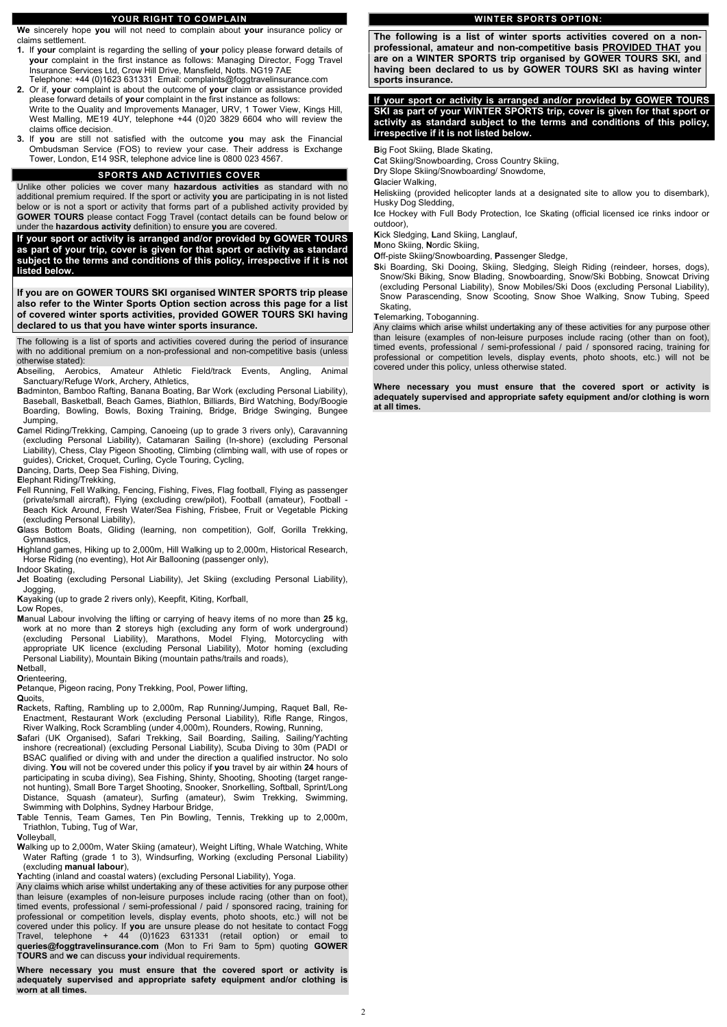### **YOUR RIGHT TO COMPLAIN**

**We** sincerely hope **you** will not need to complain about **your** insurance policy or claims settlement.

- **1.** If **your** complaint is regarding the selling of **your** policy please forward details of **your** complaint in the first instance as follows: Managing Director, Fogg Travel Insurance Services Ltd, Crow Hill Drive, Mansfield, Notts. NG19 7AE Telephone: +44 (0)1623 631331 Email: complaints@foggtravelinsurance.com
- **2.** Or if, **your** complaint is about the outcome of **your** claim or assistance provided please forward details of **your** complaint in the first instance as follows: Write to the Quality and Improvements Manager, URV, 1 Tower View, Kings Hill, West Malling, ME19 4UY, telephone +44 (0)20 3829 6604 who will review the claims office decision.
- **3.** If **you** are still not satisfied with the outcome **you** may ask the Financial Ombudsman Service (FOS) to review your case. Their address is Exchange Tower, London, E14 9SR, telephone advice line is 0800 023 4567.

#### **SPORTS AND ACTIVITIES COVER**

Unlike other policies we cover many **hazardous activities** as standard with no additional premium required. If the sport or activity **you** are participating in is not listed below or is not a sport or activity that forms part of a published activity provided by **GOWER TOURS** please contact Fogg Travel (contact details can be found below or under the **hazardous activity** definition) to ensure **you** are covered.

**If your sport or activity is arranged and/or provided by GOWER TOURS as part of your trip, cover is given for that sport or activity as standard subject to the terms and conditions of this policy, irrespective if it is not listed below.**

**If you are on GOWER TOURS SKI organised WINTER SPORTS trip please also refer to the Winter Sports Option section across this page for a list of covered winter sports activities, provided GOWER TOURS SKI having declared to us that you have winter sports insurance.**

The following is a list of sports and activities covered during the period of insurance with no additional premium on a non-professional and non-competitive basis (unless otherwise stated):

- **A**bseiling, Aerobics, Amateur Athletic Field/track Events, Angling, Animal Sanctuary/Refuge Work, Archery, Athletics,
- **B**adminton, Bamboo Rafting, Banana Boating, Bar Work (excluding Personal Liability), Baseball, Basketball, Beach Games, Biathlon, Billiards, Bird Watching, Body/Boogie Boarding, Bowling, Bowls, Boxing Training, Bridge, Bridge Swinging, Bungee Jumping,
- **C**amel Riding/Trekking, Camping, Canoeing (up to grade 3 rivers only), Caravanning (excluding Personal Liability), Catamaran Sailing (In-shore) (excluding Personal Liability), Chess, Clay Pigeon Shooting, Climbing (climbing wall, with use of ropes or guides), Cricket, Croquet, Curling, Cycle Touring, Cycling,
- **D**ancing, Darts, Deep Sea Fishing, Diving,

**E**lephant Riding/Trekking,

- **F**ell Running, Fell Walking, Fencing, Fishing, Fives, Flag football, Flying as passenger (private/small aircraft), Flying (excluding crew/pilot), Football (amateur), Football - Beach Kick Around, Fresh Water/Sea Fishing, Frisbee, Fruit or Vegetable Picking (excluding Personal Liability),
- **G**lass Bottom Boats, Gliding (learning, non competition), Golf, Gorilla Trekking, Gymnastics,
- **H**ighland games, Hiking up to 2,000m, Hill Walking up to 2,000m, Historical Research, Horse Riding (no eventing), Hot Air Ballooning (passenger only),

**I**ndoor Skating,

**J**et Boating (excluding Personal Liability), Jet Skiing (excluding Personal Liability), Jogging,

**K**ayaking (up to grade 2 rivers only), Keepfit, Kiting, Korfball,

**L**ow Ropes,

**M**anual Labour involving the lifting or carrying of heavy items of no more than **25** kg, work at no more than **2** storeys high (excluding any form of work underground) (excluding Personal Liability), Marathons, Model Flying, Motorcycling with appropriate UK licence (excluding Personal Liability), Motor homing (excluding Personal Liability), Mountain Biking (mountain paths/trails and roads),

**N**etball,

**O**rienteering, **P**etanque, Pigeon racing, Pony Trekking, Pool, Power lifting,

**Q**uoits,

- **R**ackets, Rafting, Rambling up to 2,000m, Rap Running/Jumping, Raquet Ball, Re-Enactment, Restaurant Work (excluding Personal Liability), Rifle Range, Ringos, River Walking, Rock Scrambling (under 4,000m), Rounders, Rowing, Running,
- **S**afari (UK Organised), Safari Trekking, Sail Boarding, Sailing, Sailing/Yachting inshore (recreational) (excluding Personal Liability), Scuba Diving to 30m (PADI or BSAC qualified or diving with and under the direction a qualified instructor. No solo diving. **You** will not be covered under this policy if **you** travel by air within **24** hours of

participating in scuba diving), Sea Fishing, Shinty, Shooting, Shooting (target rangenot hunting), Small Bore Target Shooting, Snooker, Snorkelling, Softball, Sprint/Long Distance, Squash (amateur), Surfing (amateur), Swim Trekking, Swimming, Swimming with Dolphins, Sydney Harbour Bridge,

**T**able Tennis, Team Games, Ten Pin Bowling, Tennis, Trekking up to 2,000m, Triathlon, Tubing, Tug of War,

#### **V**olleyball,

**W**alking up to 2,000m, Water Skiing (amateur), Weight Lifting, Whale Watching, White Water Rafting (grade 1 to 3), Windsurfing, Working (excluding Personal Liability) (excluding **manual labour**),

**Y**achting (inland and coastal waters) (excluding Personal Liability), Yoga.

Any claims which arise whilst undertaking any of these activities for any purpose other than leisure (examples of non-leisure purposes include racing (other than on foot), timed events, professional / semi-professional / paid / sponsored racing, training for professional or competition levels, display events, photo shoots, etc.) will not be covered under this policy. If **you** are unsure please do not hesitate to contact Fogg Travel, telephone + 44 (0)1623 631331 (retail option) or email to **queries@foggtravelinsurance.com** (Mon to Fri 9am to 5pm) quoting **GOWER TOURS** and **we** can discuss **your** individual requirements.

**Where necessary you must ensure that the covered sport or activity is adequately supervised and appropriate safety equipment and/or clothing is worn at all times.**

### **WINTER SPORTS OPTION:**

**The following is a list of winter sports activities covered on a nonprofessional, amateur and non-competitive basis PROVIDED THAT you are on a WINTER SPORTS trip organised by GOWER TOURS SKI, and having been declared to us by GOWER TOURS SKI as having winter sports insurance.**

### **If your sport or activity is arranged and/or provided by GOWER TOURS SKI as part of your WINTER SPORTS trip, cover is given for that sport or activity as standard subject to the terms and conditions of this policy, irrespective if it is not listed below.**

**B**ig Foot Skiing, Blade Skating,

**C**at Skiing/Snowboarding, Cross Country Skiing,

**D**ry Slope Skiing/Snowboarding/ Snowdome,

**G**lacier Walking,

**H**eliskiing (provided helicopter lands at a designated site to allow you to disembark), Husky Dog Sledding,

**I**ce Hockey with Full Body Protection, Ice Skating (official licensed ice rinks indoor or outdoor),

**K**ick Sledging, **L**and Skiing, Langlauf,

**M**ono Skiing, **N**ordic Skiing,

**O**ff-piste Skiing/Snowboarding, **P**assenger Sledge,

**S**ki Boarding, Ski Dooing, Skiing, Sledging, Sleigh Riding (reindeer, horses, dogs), Snow/Ski Biking, Snow Blading, Snowboarding, Snow/Ski Bobbing, Snowcat Driving (excluding Personal Liability), Snow Mobiles/Ski Doos (excluding Personal Liability), Snow Parascending, Snow Scooting, Snow Shoe Walking, Snow Tubing, Speed Skating,

**T**elemarking, Toboganning.

Any claims which arise whilst undertaking any of these activities for any purpose other than leisure (examples of non-leisure purposes include racing (other than on foot), timed events, professional / semi-professional / paid / sponsored racing, training for professional or competition levels, display events, photo shoots, etc.) will not be covered under this policy, unless otherwise stated.

**Where necessary you must ensure that the covered sport or activity is adequately supervised and appropriate safety equipment and/or clothing is worn at all times.**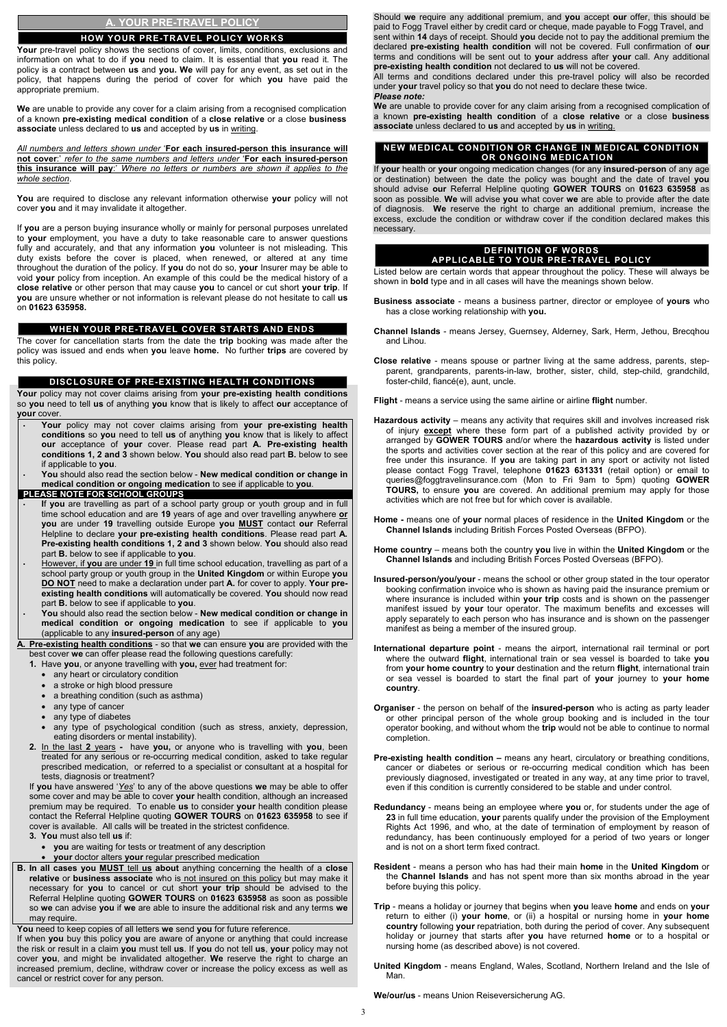### **A. YOUR PRE-TRAVEL POLICY**

#### **HOW YOUR PRE-TRAVEL POLICY WORKS**

Your pre-travel policy shows the sections of cover, limits, conditions, exclusions and information on what to do if **you** need to claim. It is essential that **you** read it. The policy is a contract between **us** and **you. We** will pay for any event, as set out in the policy, that happens during the period of cover for which **you** have paid the appropriate premium.

**We** are unable to provide any cover for a claim arising from a recognised complication of a known **pre-existing medical condition** of a **close relative** or a close **business associate** unless declared to **us** and accepted by **us** in writing.

*All numbers and letters shown under* '**For each insured-person this insurance will not cover**:' *refer to the same numbers and letters under* '**For each insured-person this insurance will pay**:' *Where no letters or numbers are shown it applies to the whole section*.

**You** are required to disclose any relevant information otherwise **your** policy will not cover **you** and it may invalidate it altogether.

If **you** are a person buying insurance wholly or mainly for personal purposes unrelated to **your** employment, you have a duty to take reasonable care to answer questions fully and accurately, and that any information **you** volunteer is not misleading. This duty exists before the cover is placed, when renewed, or altered at any time throughout the duration of the policy. If **you** do not do so, **your** Insurer may be able to void **your** policy from inception. An example of this could be the medical history of a **close relative** or other person that may cause **you** to cancel or cut short **your trip**. If **you** are unsure whether or not information is relevant please do not hesitate to call **us** on **01623 635958.**

#### **WHEN YOUR PRE-TRAVEL COVER STARTS AND ENDS**

The cover for cancellation starts from the date the **trip** booking was made after the policy was issued and ends when **you** leave **home.** No further **trips** are covered by this policy.

#### **DISCLOSURE OF PRE-EXISTING HEALTH CONDITIONS**

**Your** policy may not cover claims arising from **your pre-existing health conditions** so **you** need to tell **us** of anything **you** know that is likely to affect **our** acceptance of **your** cover.

- **Your** policy may not cover claims arising from **your pre-existing health conditions** so **you** need to tell **us** of anything **you** know that is likely to affect **our** acceptance of **your** cover. Please read part **A. Pre-existing health conditions 1, 2 and 3** shown below. **You** should also read part **B.** below to see if applicable to **you**.
- **You** should also read the section below **New medical condition or change in medical condition or ongoing medication** to see if applicable to **you**.

**PLEASE NOTE FOR SCHOOL GROUPS**

- **I**f **you** are travelling as part of a school party group or youth group and in full time school education and are **19** years of age and over travelling anywhere **or you** are under **19** travelling outside Europe **you MUST** contact **our** Referral Helpline to declare **your pre-existing health conditions**. Please read part **A. Pre-existing health conditions 1, 2 and 3** shown below. **You** should also read part **B.** below to see if applicable to **you**.
- However, if **you** are under **19** in full time school education, travelling as part of a school party group or youth group in the **United Kingdom** or within Europe **you DO NOT** need to make a declaration under part **A.** for cover to apply. **Your preexisting health conditions** will automatically be covered. **You** should now read part **B.** below to see if applicable to **you**.
- **You** should also read the section below **New medical condition or change in medical condition or ongoing medication** to see if applicable to **you** (applicable to any **insured-person** of any age)

**A. Pre-existing health conditions** - so that **we** can ensure **you** are provided with the best cover **we** can offer please read the following questions carefully:

- **1.** Have **you**, or anyone travelling with **you,** ever had treatment for:
	- any heart or circulatory condition
	- a stroke or high blood pressure
	- a breathing condition (such as asthma)
	- any type of cancer
	- any type of diabetes
	- any type of psychological condition (such as stress, anxiety, depression, eating disorders or mental instability).
- **2.** In the last **2** yearshave **you,** or anyone who is travelling with **you**, been treated for any serious or re-occurring medical condition, asked to take regular prescribed medication, or referred to a specialist or consultant at a hospital for

tests, diagnosis or treatment?

If **you** have answered '*Yes*' to any of the above questions **we** may be able to offer some cover and may be able to cover **your** health condition, although an increased premium may be required. To enable **us** to consider **your** health condition please contact the Referral Helpline quoting **GOWER TOURS** on **01623 635958** to see if cover is available. All calls will be treated in the strictest confidence.

**3. You** must also tell **us** if:

- **you** are waiting for tests or treatment of any description
- **your** doctor alters **your** regular prescribed medication
- **B. In all cases you MUST** tell **us about** anything concerning the health of a **close relative** or **business associate** who is not insured on this policy but may make it necessary for **you** to cancel or cut short **your trip** should be advised to the Referral Helpline quoting **GOWER TOURS** on **01623 635958** as soon as possible so **we** can advise **you** if **we** are able to insure the additional risk and any terms **we** may require.

**You** need to keep copies of all letters **we** send **you** for future reference.

If when **you** buy this policy **you** are aware of anyone or anything that could increase the risk or result in a claim **you** must tell **us**. If **you** do not tell **us**, **your** policy may not cover **you**, and might be invalidated altogether. **We** reserve the right to charge an increased premium, decline, withdraw cover or increase the policy excess as well as cancel or restrict cover for any person.

Should **we** require any additional premium, and **you** accept **our** offer, this should be paid to Fogg Travel either by credit card or cheque, made payable to Fogg Travel, and sent within **14** days of receipt. Should **you** decide not to pay the additional premium the declared **pre-existing health condition** will not be covered. Full confirmation of **our** terms and conditions will be sent out to **your** address after **your** call. Any additional **pre-existing health condition** not declared to **us** will not be covered.

All terms and conditions declared under this pre-travel policy will also be recorded under **your** travel policy so that **you** do not need to declare these twice. *Please note:*

**We** are unable to provide cover for any claim arising from a recognised complication of a known **pre-existing health condition** of a **close relative** or a close **business associate** unless declared to **us** and accepted by **us** in writing.

#### **NEW MEDICAL CONDITION OR CHANGE IN MEDICAL CONDITION OR ONGOING MEDICATION**

If **your** health or **your** ongoing medication changes (for any **insured-person** of any age or destination) between the date the policy was bought and the date of travel **you** should advise **our** Referral Helpline quoting **GOWER TOURS** on **01623 635958** as soon as possible. **We** will advise **you** what cover **we** are able to provide after the date of diagnosis. **We** reserve the right to charge an additional premium, increase the excess, exclude the condition or withdraw cover if the condition declared makes this necessary.

#### **DEFINITION OF WORDS APPLICABLE TO YOUR PRE-TRAVEL POLICY**

Listed below are certain words that appear throughout the policy. These will always be shown in **bold** type and in all cases will have the meanings shown below.

- **Business associate** means a business partner, director or employee of **yours** who has a close working relationship with **you.**
- **Channel Islands**  means Jersey, Guernsey, Alderney, Sark, Herm, Jethou, Brecqhou and Lihou.
- **Close relative** means spouse or partner living at the same address, parents, stepparent, grandparents, parents-in-law, brother, sister, child, step-child, grandchild, foster-child, fiancé(e), aunt, uncle.

**Flight** - means a service using the same airline or airline **flight** number.

- **Hazardous activity** means any activity that requires skill and involves increased risk of injury **except** where these form part of a published activity provided by or arranged by **GOWER TOURS** and/or where the **hazardous activity** is listed under the sports and activities cover section at the rear of this policy and are covered for free under this insurance. If **you** are taking part in any sport or activity not listed please contact Fogg Travel, telephone **01623 631331** (retail option) or email to queries@foggtravelinsurance.com (Mon to Fri 9am to 5pm) quoting **GOWER TOURS,** to ensure **you** are covered. An additional premium may apply for those activities which are not free but for which cover is available.
- **Home** means one of **your** normal places of residence in the **United Kingdom** or the **Channel Islands** including British Forces Posted Overseas (BFPO).
- **Home country** means both the country **you** live in within the **United Kingdom** or the **Channel Islands** and including British Forces Posted Overseas (BFPO).
- **Insured-person/you/your** means the school or other group stated in the tour operator booking confirmation invoice who is shown as having paid the insurance premium or where insurance is included within **your trip** costs and is shown on the passenger manifest issued by **your** tour operator. The maximum benefits and excesses will apply separately to each person who has insurance and is shown on the passenger manifest as being a member of the insured group.
- **International departure point**  means the airport, international rail terminal or port where the outward **flight**, international train or sea vessel is boarded to take **you** from **your home country** to **your** destination and the return **flight**, international train or sea vessel is boarded to start the final part of **your** journey to **your home country**.
- **Organiser** the person on behalf of the **insured-person** who is acting as party leader or other principal person of the whole group booking and is included in the tour operator booking, and without whom the **trip** would not be able to continue to normal completion.
- **Pre-existing health condition –** means any heart, circulatory or breathing conditions, cancer or diabetes or serious or re-occurring medical condition which has been

previously diagnosed, investigated or treated in any way, at any time prior to travel, even if this condition is currently considered to be stable and under control.

- **Redundancy** means being an employee where **you** or, for students under the age of **23** in full time education, **your** parents qualify under the provision of the Employment Rights Act 1996, and who, at the date of termination of employment by reason of redundancy, has been continuously employed for a period of two years or longer and is not on a short term fixed contract.
- **Resident** means a person who has had their main **home** in the **United Kingdom** or the **Channel Islands** and has not spent more than six months abroad in the year before buying this policy.
- **Trip** means a holiday or journey that begins when **you** leave **home** and ends on **your** return to either (i) **your home**, or (ii) a hospital or nursing home in **your home country** following **your** repatriation, both during the period of cover. Any subsequent holiday or journey that starts after **you** have returned **home** or to a hospital or nursing home (as described above) is not covered.
- **United Kingdom** means England, Wales, Scotland, Northern Ireland and the Isle of Man.

**We/our/us** - means Union Reiseversicherung AG.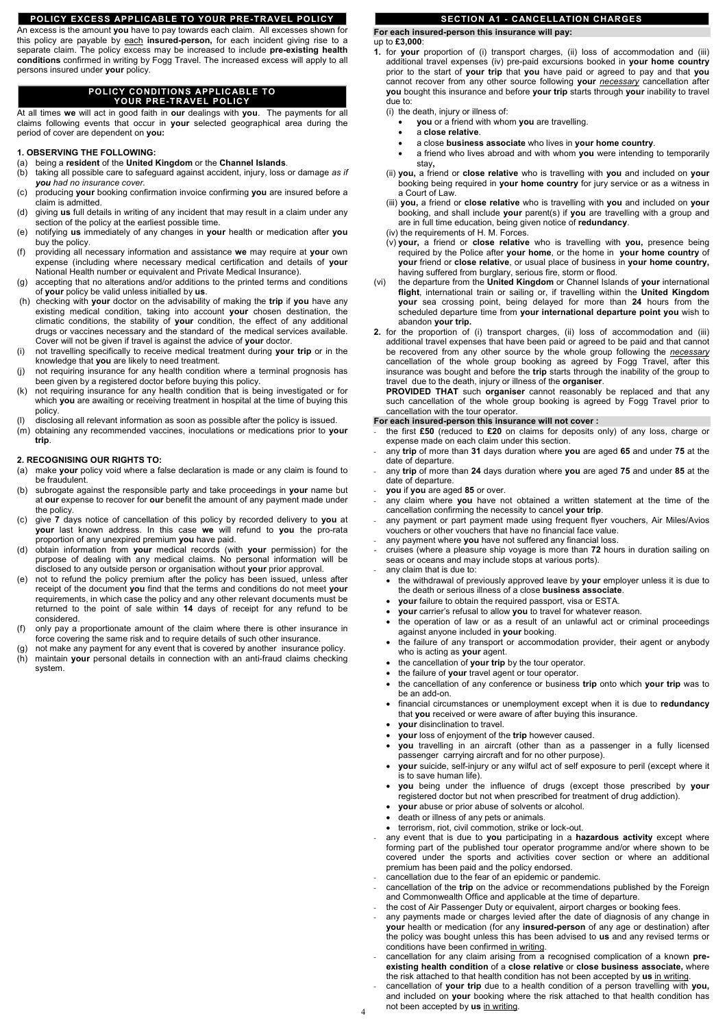### **POLICY EXCESS APPLICABLE TO YOUR PRE-TRAVEL POLICY**

An excess is the amount **you** have to pay towards each claim. All excesses shown for this policy are payable by each **insured-person,** for each incident giving rise to a separate claim. The policy excess may be increased to include **pre-existing health conditions** confirmed in writing by Fogg Travel. The increased excess will apply to all persons insured under **your** policy.

### **POLICY CONDITIONS APPLICABLE TO YOUR PRE-TRAVEL POLICY**

At all times **we** will act in good faith in **our** dealings with **you**. The payments for all claims following events that occur in **your** selected geographical area during the period of cover are dependent on **you:**

### **1. OBSERVING THE FOLLOWING:**

- (a) being a **resident** of the **United Kingdom** or the **Channel Islands**.
- (b) taking all possible care to safeguard against accident, injury, loss or damage *as if you had no insurance cover.*
- (c) producing **your** booking confirmation invoice confirming **you** are insured before a claim is admitted.
- (d) giving **us** full details in writing of any incident that may result in a claim under any section of the policy at the earliest possible time.
- (e) notifying **us** immediately of any changes in **your** health or medication after **you** buy the policy.
- (f) providing all necessary information and assistance **we** may require at **your** own expense (including where necessary medical certification and details of **your** National Health number or equivalent and Private Medical Insurance).
- (g) accepting that no alterations and/or additions to the printed terms and conditions of **your** policy be valid unless initialled by **us**.
- (h) checking with **your** doctor on the advisability of making the **trip** if **you** have any existing medical condition, taking into account **your** chosen destination, the climatic conditions, the stability of **your** condition, the effect of any additional drugs or vaccines necessary and the standard of the medical services available. Cover will not be given if travel is against the advice of **your** doctor.
- (i) not travelling specifically to receive medical treatment during **your trip** or in the knowledge that **you** are likely to need treatment.
- (j) not requiring insurance for any health condition where a terminal prognosis has been given by a registered doctor before buying this policy.
- (k) not requiring insurance for any health condition that is being investigated or for which **you** are awaiting or receiving treatment in hospital at the time of buying this policy.
- disclosing all relevant information as soon as possible after the policy is issued.
- (m) obtaining any recommended vaccines, inoculations or medications prior to **your trip**.

### **2. RECOGNISING OUR RIGHTS TO:**

- (a) make **your** policy void where a false declaration is made or any claim is found to be fraudulent.
- (b) subrogate against the responsible party and take proceedings in **your** name but at **our** expense to recover for **our** benefit the amount of any payment made under the policy.
- (c) give **7** days notice of cancellation of this policy by recorded delivery to **you** at **your** last known address. In this case **we** will refund to **you** the pro-rata proportion of any unexpired premium **you** have paid.
- (d) obtain information from **your** medical records (with **your** permission) for the purpose of dealing with any medical claims. No personal information will be disclosed to any outside person or organisation without **your** prior approval.
- (e) not to refund the policy premium after the policy has been issued, unless after receipt of the document **you** find that the terms and conditions do not meet **your** requirements, in which case the policy and any other relevant documents must be returned to the point of sale within **14** days of receipt for any refund to be considered.
- (f) only pay a proportionate amount of the claim where there is other insurance in force covering the same risk and to require details of such other insurance.
- not make any payment for any event that is covered by another insurance policy.
- (h) maintain **your** personal details in connection with an anti-fraud claims checking system.

# **SECTION A1 - CANCELLATION CHARGES**

**For each insured-person this insurance will pay:**

### up to **£3,000**:

**1.** for **your** proportion of (i) transport charges, (ii) loss of accommodation and (iii) additional travel expenses (iv) pre-paid excursions booked in **your home country** prior to the start of **your trip** that **you** have paid or agreed to pay and that **you** cannot recover from any other source following **your** *necessary* cancellation after **you** bought this insurance and before **your trip** starts through **your** inability to travel due to:

(i) the death, injury or illness of:

- **you** or a friend with whom **you** are travelling.
- a **close relative**.
- a close **business associate** who lives in **your home country**.
- a friend who lives abroad and with whom **you** were intending to temporarily stay**,**
- (ii) **you,** a friend or **close relative** who is travelling with **you** and included on **your** booking being required in **your home country** for jury service or as a witness in a Court of Law.
- (iii) **you,** a friend or **close relative** who is travelling with **you** and included on **your** booking, and shall include **your** parent(s) if **you** are travelling with a group and are in full time education, being given notice of **redundancy**.
- (iv) the requirements of H. M. Forces.
- (v) **your,** a friend or **close relative** who is travelling with **you,** presence being required by the Police after **your home**, or the home in **your home country** of **your** friend or **close relative**, or usual place of business in **your home country,** having suffered from burglary, serious fire, storm or flood.
- (vi) the departure from the **United Kingdom** or Channel Islands of **your** international **flight**, international train or sailing or, if travelling within the **United Kingdom your** sea crossing point, being delayed for more than **24** hours from the scheduled departure time from **your international departure point you** wish to abandon **your trip.**
- **2.** for the proportion of (i) transport charges, (ii) loss of accommodation and (iii) additional travel expenses that have been paid or agreed to be paid and that cannot be recovered from any other source by the whole group following the *necessary* cancellation of the whole group booking as agreed by Fogg Travel, after this insurance was bought and before the **trip** starts through the inability of the group to travel due to the death, injury or illness of the **organiser**.

**PROVIDED THAT** such **organiser** cannot reasonably be replaced and that any such cancellation of the whole group booking is agreed by Fogg Travel prior to cancellation with the tour operator.

### **For each insured-person this insurance will not cover :**

- the first **£50** (reduced to **£20** on claims for deposits only) of any loss, charge or expense made on each claim under this section.
- any **trip** of more than **31** days duration where **you** are aged **65** and under **75** at the date of departure.
- any **trip** of more than **24** days duration where **you** are aged **75** and under **85** at the date of departure.
- **you** if **you** are aged **85** or over.
- any claim where **you** have not obtained a written statement at the time of the cancellation confirming the necessity to cancel **your trip**.
- any payment or part payment made using frequent flyer vouchers, Air Miles/Avios vouchers or other vouchers that have no financial face value.
- any payment where you have not suffered any financial loss.
- cruises (where a pleasure ship voyage is more than **72** hours in duration sailing on seas or oceans and may include stops at various ports).
- any claim that is due to:
- the withdrawal of previously approved leave by **your** employer unless it is due to the death or serious illness of a close **business associate**.
- **your** failure to obtain the required passport, visa or ESTA.
- **your** carrier's refusal to allow **you** to travel for whatever reason.
- the operation of law or as a result of an unlawful act or criminal proceedings against anyone included in **your** booking.
- the failure of any transport or accommodation provider, their agent or anybody who is acting as **your** agent.
- the cancellation of **your trip** by the tour operator.
- the failure of **your** travel agent or tour operator.
- the cancellation of any conference or business **trip** onto which **your trip** was to be an add-on.
- financial circumstances or unemployment except when it is due to **redundancy** that **you** received or were aware of after buying this insurance.
- **your** disinclination to travel.
- **your** loss of enjoyment of the **trip** however caused.
- **you** travelling in an aircraft (other than as a passenger in a fully licensed passenger carrying aircraft and for no other purpose).
- **your** suicide, self-injury or any wilful act of self exposure to peril (except where it
- is to save human life).
- **you** being under the influence of drugs (except those prescribed by **your** registered doctor but not when prescribed for treatment of drug addiction).
- **your** abuse or prior abuse of solvents or alcohol.
- death or illness of any pets or animals.
- terrorism, riot, civil commotion, strike or lock-out.
- any event that is due to **you** participating in a **hazardous activity** except where forming part of the published tour operator programme and/or where shown to be covered under the sports and activities cover section or where an additional premium has been paid and the policy endorsed.
- cancellation due to the fear of an epidemic or pandemic.
- cancellation of the **trip** on the advice or recommendations published by the Foreign and Commonwealth Office and applicable at the time of departure.
- the cost of Air Passenger Duty or equivalent, airport charges or booking fees.
- any payments made or charges levied after the date of diagnosis of any change in **your** health or medication (for any **insured-person** of any age or destination) after the policy was bought unless this has been advised to **us** and any revised terms or conditions have been confirmed in writing.
- cancellation for any claim arising from a recognised complication of a known **preexisting health condition** of a **close relative** or **close business associate,** where the risk attached to that health condition has not been accepted by **us** in writing.
- cancellation of **your trip** due to a health condition of a person travelling with **you,** and included on **your** booking where the risk attached to that health condition has not been accepted by **us** in writing.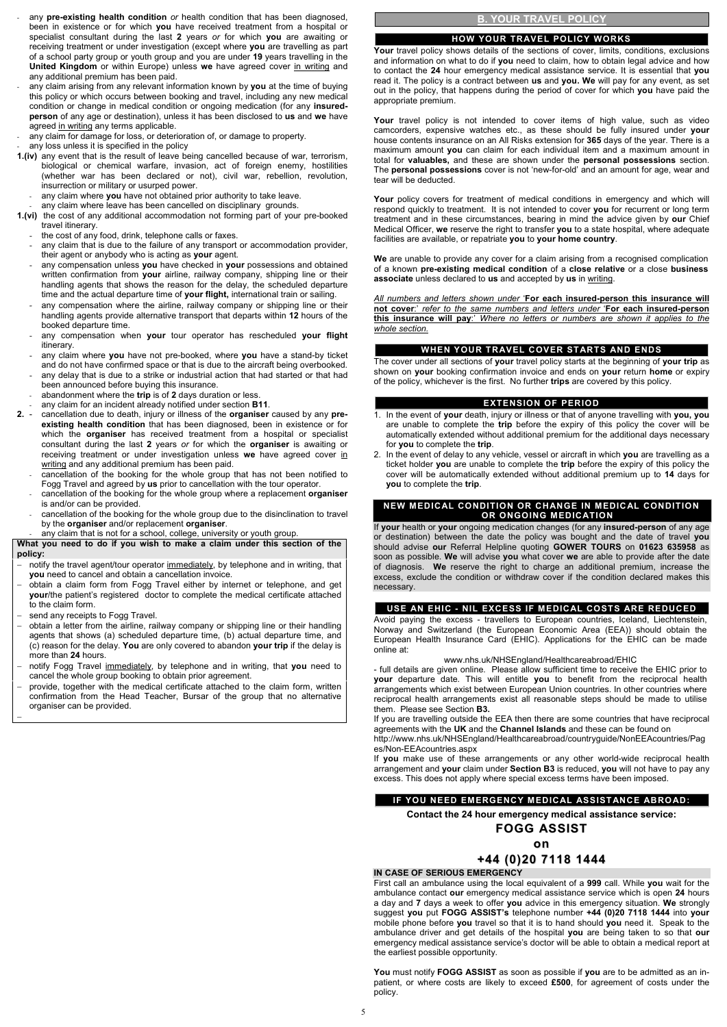- notify the travel agent/tour operator immediately, by telephone and in writing, that **you** need to cancel and obtain a cancellation invoice.
- − obtain a claim form from Fogg Travel either by internet or telephone, and get **your**/the patient's registered doctor to complete the medical certificate attached to the claim form.
- send any receipts to Fogg Travel.
- − obtain a letter from the airline, railway company or shipping line or their handling agents that shows (a) scheduled departure time, (b) actual departure time, and (c) reason for the delay. **You** are only covered to abandon **your trip** if the delay is more than **24** hours.
- − notify Fogg Travel immediately, by telephone and in writing, that **you** need to cancel the whole group booking to obtain prior agreement.
- provide, together with the medical certificate attached to the claim form, written confirmation from the Head Teacher, Bursar of the group that no alternative organiser can be provided. −

Your policy covers for treatment of medical conditions in emergency and which will respond quickly to treatment. It is not intended to cover **you** for recurrent or long term treatment and in these circumstances, bearing in mind the advice given by **our** Chief Medical Officer, **we** reserve the right to transfer **you** to a state hospital, where adequate facilities are available, or repatriate **you** to **your home country**.

- any **pre-existing health condition** or health condition that has been diagnosed, been in existence or for which **you** have received treatment from a hospital or specialist consultant during the last **2** years *or* for which **you** are awaiting or receiving treatment or under investigation (except where **you** are travelling as part of a school party group or youth group and you are under **19** years travelling in the **United Kingdom** or within Europe) unless we have agreed cover in writing and any additional premium has been paid.
- any claim arising from any relevant information known by **you** at the time of buying this policy or which occurs between booking and travel, including any new medical condition or change in medical condition or ongoing medication (for any **insuredperson** of any age or destination), unless it has been disclosed to **us** and **we** have agreed in writing any terms applicable.
- any claim for damage for loss, or deterioration of, or damage to property.
- any loss unless it is specified in the policy
- **1.(iv)** any event that is the result of leave being cancelled because of war, terrorism, biological or chemical warfare, invasion, act of foreign enemy, hostilities (whether war has been declared or not), civil war, rebellion, revolution, insurrection or military or usurped power.
	- any claim where you have not obtained prior authority to take leave.
	- any claim where leave has been cancelled on disciplinary grounds.
- **1.(vi)** the cost of any additional accommodation not forming part of your pre-booked travel itinerary.
	- the cost of any food, drink, telephone calls or faxes.
	- any claim that is due to the failure of any transport or accommodation provider, their agent or anybody who is acting as **your** agent.
	- any compensation unless **you** have checked in **your** possessions and obtained written confirmation from **your** airline, railway company, shipping line or their handling agents that shows the reason for the delay, the scheduled departure time and the actual departure time of **your flight,** international train or sailing.
	- any compensation where the airline, railway company or shipping line or their handling agents provide alternative transport that departs within **12** hours of the booked departure time.
	- any compensation when **your** tour operator has rescheduled **your flight** itinerary.
	- any claim where **you** have not pre-booked, where **you** have a stand-by ticket and do not have confirmed space or that is due to the aircraft being overbooked.
	- any delay that is due to a strike or industrial action that had started or that had been announced before buying this insurance.
	- abandonment where the **trip** is of **2** days duration or less.
	- any claim for an incident already notified under section **B11**.
- **2.** cancellation due to death, injury or illness of the **organiser** caused by any **preexisting health condition** that has been diagnosed, been in existence or for which the **organiser** has received treatment from a hospital or specialist consultant during the last **2** years *or* for which the **organiser** is awaiting or receiving treatment or under investigation unless **we** have agreed cover in writing and any additional premium has been paid.
	- cancellation of the booking for the whole group that has not been notified to Fogg Travel and agreed by **us** prior to cancellation with the tour operator.
	- cancellation of the booking for the whole group where a replacement **organiser** is and/or can be provided.
	- cancellation of the booking for the whole group due to the disinclination to travel by the **organiser** and/or replacement **organiser**.
		- any claim that is not for a school, college, university or youth group.

**What you need to do if you wish to make a claim under this section of the policy:**

### **B. YOUR TRAVEL POLICY**

#### **HOW YOUR TRAVEL POLICY WORKS**

**Your** travel policy shows details of the sections of cover, limits, conditions, exclusions and information on what to do if **you** need to claim, how to obtain legal advice and how to contact the **24** hour emergency medical assistance service. It is essential that **you** read it. The policy is a contract between **us** and **you. We** will pay for any event, as set out in the policy, that happens during the period of cover for which **you** have paid the appropriate premium.

**Your** travel policy is not intended to cover items of high value, such as video camcorders, expensive watches etc., as these should be fully insured under **your** house contents insurance on an All Risks extension for **365** days of the year. There is a maximum amount **you** can claim for each individual item and a maximum amount in total for **valuables,** and these are shown under the **personal possessions** section. The **personal possessions** cover is not 'new-for-old' and an amount for age, wear and tear will be deducted.

**We** are unable to provide any cover for a claim arising from a recognised complication of a known **pre-existing medical condition** of a **close relative** or a close **business associate** unless declared to **us** and accepted by **us** in writing.

*All numbers and letters shown under* '**For each insured-person this insurance will not cover**:' *refer to the same numbers and letters under* '**For each insured-person this insurance will pay**:' *Where no letters or numbers are shown it applies to the whole section.*

#### **WHEN YOUR TRAVEL COVER STARTS AND ENDS**

The cover under all sections of **your** travel policy starts at the beginning of **your trip** as shown on **your** booking confirmation invoice and ends on **your** return **home** or expiry of the policy, whichever is the first. No further **trips** are covered by this policy.

#### **EXTENSION OF PERIOD**

- 1. In the event of **your** death, injury or illness or that of anyone travelling with **you, you** are unable to complete the **trip** before the expiry of this policy the cover will be automatically extended without additional premium for the additional days necessary for **you** to complete the **trip**.
- 2. In the event of delay to any vehicle, vessel or aircraft in which **you** are travelling as a ticket holder **you** are unable to complete the **trip** before the expiry of this policy the cover will be automatically extended without additional premium up to **14** days for **you** to complete the **trip**.

#### **NEW MEDICAL CONDITION OR CHANGE IN MEDICAL CONDITION OR ONGOING MEDICATION**

If **your** health or **your** ongoing medication changes (for any **insured-person** of any age or destination) between the date the policy was bought and the date of travel **you** should advise **our** Referral Helpline quoting **GOWER TOURS** on **01623 635958** as soon as possible. **We** will advise **you** what cover **we** are able to provide after the date of diagnosis. **We** reserve the right to charge an additional premium, increase the excess, exclude the condition or withdraw cover if the condition declared makes this necessary.

#### **USE AN EHIC - NIL EXCESS IF MEDICAL COSTS ARE REDUCED**

Avoid paying the excess - travellers to European countries, Iceland, Liechtenstein, Norway and Switzerland (the European Economic Area (EEA)) should obtain the European Health Insurance Card (EHIC). Applications for the EHIC can be made online at:

#### www.nhs.uk/NHSEngland/Healthcareabroad/EHIC

- full details are given online. Please allow sufficient time to receive the EHIC prior to **your** departure date. This will entitle **you** to benefit from the reciprocal health arrangements which exist between European Union countries. In other countries where reciprocal health arrangements exist all reasonable steps should be made to utilise them. Please see Section **B3.**

If you are travelling outside the EEA then there are some countries that have reciprocal agreements with the **UK** and the **Channel Islands** and these can be found on

http://www.nhs.uk/NHSEngland/Healthcareabroad/countryguide/NonEEAcountries/Pag es/Non-EEAcountries.aspx

If **you** make use of these arrangements or any other world-wide reciprocal health arrangement and **your** claim under **Section B3** is reduced, **you** will not have to pay any

excess. This does not apply where special excess terms have been imposed.

#### **IF YOU NEED EMERGENCY MEDICAL ASSISTANCE ABROAD:**

**Contact the 24 hour emergency medical assistance service:**

### **FOGG ASSIST**

### **on**

### **+44 (0)20 7118 1444**

#### **IN CASE OF SERIOUS EMERGENCY**

First call an ambulance using the local equivalent of a **999** call. While **you** wait for the ambulance contact **our** emergency medical assistance service which is open **24** hours a day and **7** days a week to offer **you** advice in this emergency situation. **We** strongly suggest **you** put **FOGG ASSIST's** telephone number **+44 (0)20 7118 1444** into **your** mobile phone before **you** travel so that it is to hand should **you** need it. Speak to the ambulance driver and get details of the hospital **you** are being taken to so that **our** emergency medical assistance service's doctor will be able to obtain a medical report at the earliest possible opportunity.

**You** must notify **FOGG ASSIST** as soon as possible if **you** are to be admitted as an inpatient, or where costs are likely to exceed **£500**, for agreement of costs under the policy.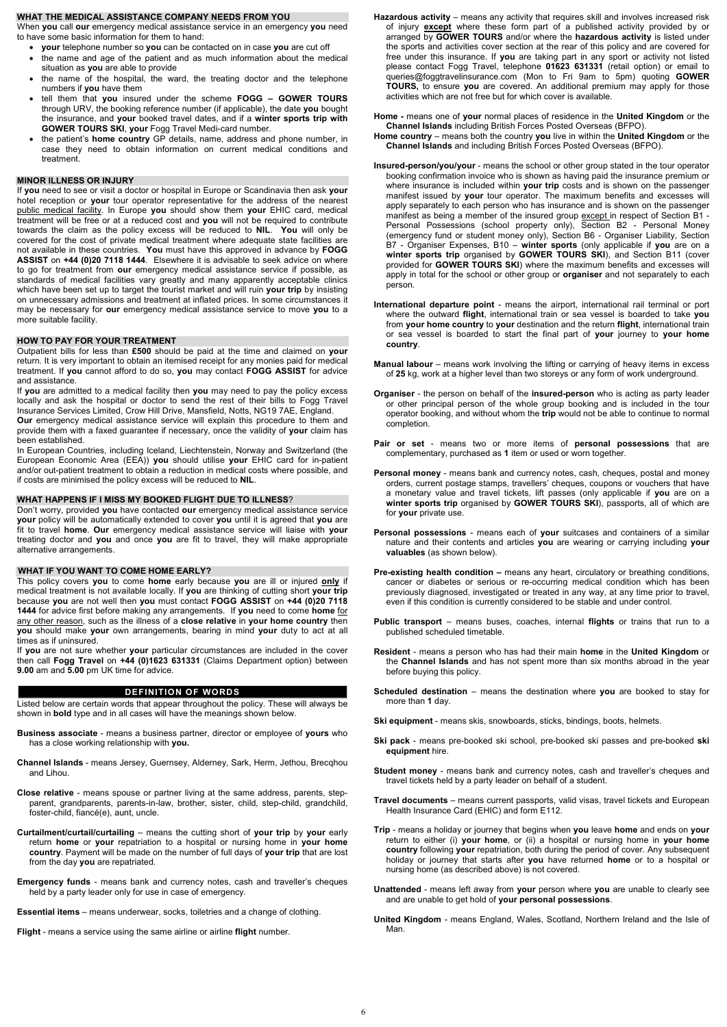#### **WHAT THE MEDICAL ASSISTANCE COMPANY NEEDS FROM YOU**

When **you** call **our** emergency medical assistance service in an emergency **you** need to have some basic information for them to hand:

- **your** telephone number so **you** can be contacted on in case **you** are cut off
- the name and age of the patient and as much information about the medical situation as **you** are able to provide
- the name of the hospital, the ward, the treating doctor and the telephone numbers if **you** have them
- tell them that **you** insured under the scheme **FOGG – GOWER TOURS** through URV, the booking reference number (if applicable), the date **you** bought the insurance, and **your** booked travel dates, and if a **winter sports trip with GOWER TOURS SKI**, **your** Fogg Travel Medi-card number.
- the patient's **home country** GP details, name, address and phone number, in case they need to obtain information on current medical conditions and treatment.

#### **MINOR ILLNESS OR INJURY**

If **you** need to see or visit a doctor or hospital in Europe or Scandinavia then ask **your** hotel reception or **your** tour operator representative for the address of the nearest public medical facility. In Europe **you** should show them **your** EHIC card, medical treatment will be free or at a reduced cost and **you** will not be required to contribute towards the claim as the policy excess will be reduced to **NIL**. **You** will only be covered for the cost of private medical treatment where adequate state facilities are not available in these countries. **You** must have this approved in advance by **FOGG ASSIST** on **+44 (0)20 7118 1444**. Elsewhere it is advisable to seek advice on where to go for treatment from **our** emergency medical assistance service if possible, as standards of medical facilities vary greatly and many apparently acceptable clinics which have been set up to target the tourist market and will ruin **your trip** by insisting on unnecessary admissions and treatment at inflated prices. In some circumstances it may be necessary for **our** emergency medical assistance service to move **you** to a more suitable facility.

#### **HOW TO PAY FOR YOUR TREATMENT**

Outpatient bills for less than **£500** should be paid at the time and claimed on **your** return. It is very important to obtain an itemised receipt for any monies paid for medical treatment. If **you** cannot afford to do so, **you** may contact **FOGG ASSIST** for advice and assistance.

If **you** are admitted to a medical facility then **you** may need to pay the policy excess locally and ask the hospital or doctor to send the rest of their bills to Fogg Travel Insurance Services Limited, Crow Hill Drive, Mansfield, Notts, NG19 7AE, England. **Our** emergency medical assistance service will explain this procedure to them and provide them with a faxed guarantee if necessary, once the validity of **your** claim has been established.

In European Countries, including Iceland, Liechtenstein, Norway and Switzerland (the European Economic Area (EEA)) **you** should utilise **your** EHIC card for in-patient and/or out-patient treatment to obtain a reduction in medical costs where possible, and if costs are minimised the policy excess will be reduced to **NIL**.

#### **WHAT HAPPENS IF I MISS MY BOOKED FLIGHT DUE TO ILLNESS**?

Don't worry, provided **you** have contacted **our** emergency medical assistance service **your** policy will be automatically extended to cover **you** until it is agreed that **you** are fit to travel **home**. **Our** emergency medical assistance service will liaise with **your** treating doctor and **you** and once **you** are fit to travel, they will make appropriate alternative arrangements.

#### **WHAT IF YOU WANT TO COME HOME EARLY?**

This policy covers **you** to come **home** early because **you** are ill or injured **only** if medical treatment is not available locally. If **you** are thinking of cutting short **your trip** because **you** are not well then **you** must contact **FOGG ASSIST** on **+44 (0)20 7118 1444** for advice first before making any arrangements. If **you** need to come **home** for any other reason, such as the illness of a **close relative** in **your home country** then **you** should make **your** own arrangements, bearing in mind **your** duty to act at all times as if uninsured.

If **you** are not sure whether **your** particular circumstances are included in the cover then call **Fogg Travel** on **+44 (0)1623 631331** (Claims Department option) between **9.00** am and **5.00** pm UK time for advice.

#### **DEFINITION OF WORDS**

Listed below are certain words that appear throughout the policy. These will always be shown in **bold** type and in all cases will have the meanings shown below.

- **Business associate** means a business partner, director or employee of **yours** who has a close working relationship with **you.**
- **Channel Islands**  means Jersey, Guernsey, Alderney, Sark, Herm, Jethou, Brecqhou and Lihou.

**Close relative** - means spouse or partner living at the same address, parents, stepparent, grandparents, parents-in-law, brother, sister, child, step-child, grandchild, foster-child, fiancé(e), aunt, uncle.

- **Curtailment/curtail/curtailing**  means the cutting short of **your trip** by **your** early return **home** or **your** repatriation to a hospital or nursing home in **your home country**. Payment will be made on the number of full days of **your trip** that are lost from the day **you** are repatriated.
- **Emergency funds** means bank and currency notes, cash and traveller's cheques held by a party leader only for use in case of emergency.

**Essential items** – means underwear, socks, toiletries and a change of clothing.

**Flight** - means a service using the same airline or airline **flight** number.

**Hazardous activity** – means any activity that requires skill and involves increased risk of injury **except** where these form part of a published activity provided by or arranged by **GOWER TOURS** and/or where the **hazardous activity** is listed under the sports and activities cover section at the rear of this policy and are covered for free under this insurance. If **you** are taking part in any sport or activity not listed please contact Fogg Travel, telephone **01623 631331** (retail option) or email to queries@foggtravelinsurance.com (Mon to Fri 9am to 5pm) quoting **GOWER TOURS,** to ensure **you** are covered. An additional premium may apply for those activities which are not free but for which cover is available.

**Home -** means one of **your** normal places of residence in the **United Kingdom** or the **Channel Islands** including British Forces Posted Overseas (BFPO).

- **Home country** means both the country **you** live in within the **United Kingdom** or the **Channel Islands** and including British Forces Posted Overseas (BFPO).
- **Insured-person/you/your** means the school or other group stated in the tour operator booking confirmation invoice who is shown as having paid the insurance premium or where insurance is included within **your trip** costs and is shown on the passenger manifest issued by **your** tour operator. The maximum benefits and excesses will apply separately to each person who has insurance and is shown on the passenger manifest as being a member of the insured group except in respect of Section B1 -Personal Possessions (school property only), Section B2 - Personal Money (emergency fund or student money only), Section B6 - Organiser Liability, Section B7 - Organiser Expenses, B10 – **winter sports** (only applicable if **you** are on a **winter sports trip** organised by **GOWER TOURS SKI**), and Section B11 (cover provided for **GOWER TOURS SKI**) where the maximum benefits and excesses will apply in total for the school or other group or **organiser** and not separately to each person.
- **International departure point**  means the airport, international rail terminal or port where the outward **flight**, international train or sea vessel is boarded to take **you** from **your home country** to **your** destination and the return **flight**, international train or sea vessel is boarded to start the final part of **your** journey to **your home country**.
- **Manual labour** means work involving the lifting or carrying of heavy items in excess of **25** kg, work at a higher level than two storeys or any form of work underground.
- **Organiser** the person on behalf of the **insured-person** who is acting as party leader or other principal person of the whole group booking and is included in the tour operator booking, and without whom the **trip** would not be able to continue to normal completion.
- **Pair or set**  means two or more items of **personal possessions** that are complementary, purchased as **1** item or used or worn together.
- **Personal money**  means bank and currency notes, cash, cheques, postal and money orders, current postage stamps, travellers' cheques, coupons or vouchers that have a monetary value and travel tickets, lift passes (only applicable if **you** are on a **winter sports trip** organised by **GOWER TOURS SKI**), passports, all of which are for **your** private use.
- **Personal possessions** means each of **your** suitcases and containers of a similar nature and their contents and articles **you** are wearing or carrying including **your valuables** (as shown below).
- **Pre-existing health condition** means any heart, circulatory or breathing conditions, cancer or diabetes or serious or re-occurring medical condition which has been previously diagnosed, investigated or treated in any way, at any time prior to travel, even if this condition is currently considered to be stable and under control.
- **Public transport** means buses, coaches, internal **flights** or trains that run to a published scheduled timetable.
- **Resident** means a person who has had their main **home** in the **United Kingdom** or the **Channel Islands** and has not spent more than six months abroad in the year before buying this policy.
- **Scheduled destination**  means the destination where **you** are booked to stay for more than **1** day.
- **Ski equipment** means skis, snowboards, sticks, bindings, boots, helmets.
- **Ski pack** means pre-booked ski school, pre-booked ski passes and pre-booked **ski equipment** hire.

**Student money** - means bank and currency notes, cash and traveller's cheques and

travel tickets held by a party leader on behalf of a student.

- **Travel documents**  means current passports, valid visas, travel tickets and European Health Insurance Card (EHIC) and form E112.
- **Trip** means a holiday or journey that begins when **you** leave **home** and ends on **your** return to either (i) **your home**, or (ii) a hospital or nursing home in **your home country** following **your** repatriation, both during the period of cover. Any subsequent holiday or journey that starts after **you** have returned **home** or to a hospital or nursing home (as described above) is not covered.
- **Unattended** means left away from **your** person where **you** are unable to clearly see and are unable to get hold of **your personal possessions**.

**United Kingdom** - means England, Wales, Scotland, Northern Ireland and the Isle of Man.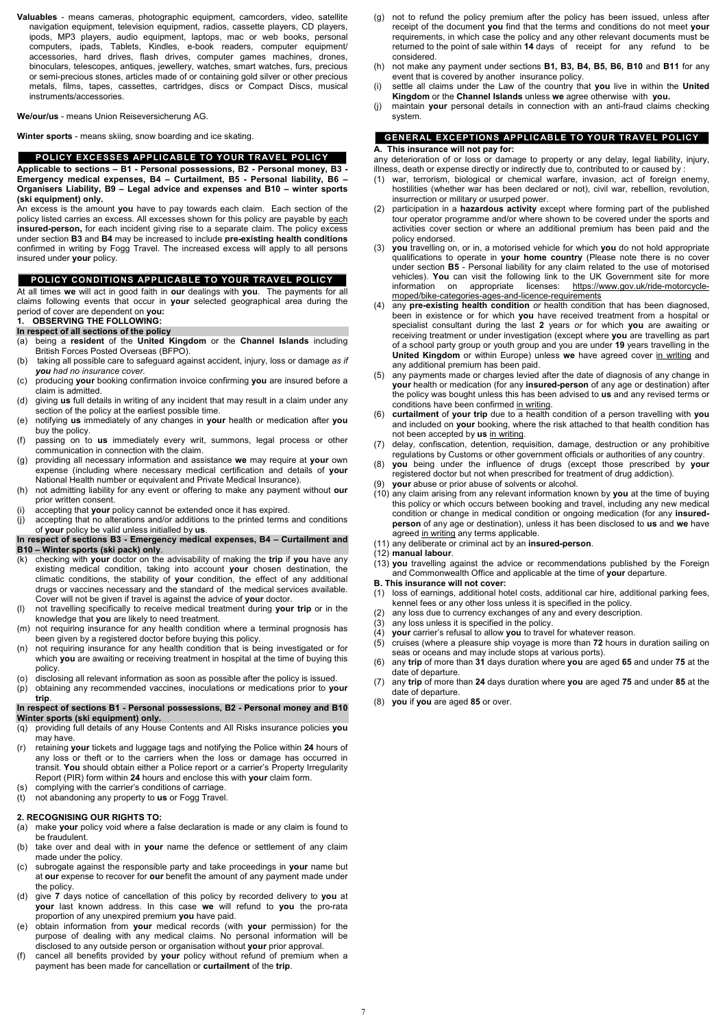**Valuables** - means cameras, photographic equipment, camcorders, video, satellite navigation equipment, television equipment, radios, cassette players, CD players, ipods, MP3 players, audio equipment, laptops, mac or web books, personal computers, ipads, Tablets, Kindles, e-book readers, computer equipment/ accessories, hard drives, flash drives, computer games machines, drones, binoculars, telescopes, antiques, jewellery, watches, smart watches, furs, precious or semi-precious stones, articles made of or containing gold silver or other precious metals, films, tapes, cassettes, cartridges, discs or Compact Discs, musical instruments/accessories.

**We/our/us** - means Union Reiseversicherung AG.

**Winter sports** - means skiing, snow boarding and ice skating.

#### **POLICY EXCESSES APPLICABLE TO YOUR TRAVEL POLICY**

**Applicable to sections – B1 - Personal possessions, B2 - Personal money, B3 - Emergency medical expenses, B4 – Curtailment, B5 - Personal liability, B6 – Organisers Liability, B9 – Legal advice and expenses and B10 – winter sports (ski equipment) only.**

An excess is the amount **you** have to pay towards each claim. Each section of the policy listed carries an excess. All excesses shown for this policy are payable by each **insured-person,** for each incident giving rise to a separate claim. The policy excess under section **B3** and **B4** may be increased to include **pre-existing health conditions** confirmed in writing by Fogg Travel. The increased excess will apply to all persons insured under **your** policy.

### **POLICY CONDITIONS APPLICABLE TO YOUR TRAVEL POLICY**

At all times **we** will act in good faith in **our** dealings with **you**. The payments for all claims following events that occur in **your** selected geographical area during the period of cover are dependent on **you:**

### **1. OBSERVING THE FOLLOWING:**

#### **In respect of all sections of the policy**

- (a) being a **resident** of the **United Kingdom** or the **Channel Islands** including British Forces Posted Overseas (BFPO).
- (b) taking all possible care to safeguard against accident, injury, loss or damage *as if you had no insurance cover.*
- (c) producing **your** booking confirmation invoice confirming **you** are insured before a claim is admitted.
- (d) giving **us** full details in writing of any incident that may result in a claim under any section of the policy at the earliest possible time.
- (e) notifying **us** immediately of any changes in **your** health or medication after **you** buy the policy.
- (f) passing on to **us** immediately every writ, summons, legal process or other communication in connection with the claim.
- (g) providing all necessary information and assistance **we** may require at **your** own expense (including where necessary medical certification and details of **your** National Health number or equivalent and Private Medical Insurance).
- (h) not admitting liability for any event or offering to make any payment without **our** prior written consent.
- accepting that your policy cannot be extended once it has expired.
- (j) accepting that no alterations and/or additions to the printed terms and conditions of **your** policy be valid unless initialled by **us**.

#### **In respect of sections B3 - Emergency medical expenses, B4 – Curtailment and B10 – Winter sports (ski pack) only**.

- not to refund the policy premium after the policy has been issued, unless after receipt of the document **you** find that the terms and conditions do not meet **your** requirements, in which case the policy and any other relevant documents must be returned to the point of sale within **14** days of receipt for any refund to be considered.
- (h) not make any payment under sections **B1, B3, B4, B5, B6, B10** and **B11** for any event that is covered by another insurance policy.
- (i) settle all claims under the Law of the country that **you** live in within the **United Kingdom** or the **Channel Islands** unless **we** agree otherwise with **you.**
- (j) maintain **your** personal details in connection with an anti-fraud claims checking system.

- (k) checking with **your** doctor on the advisability of making the **trip** if **you** have any existing medical condition, taking into account **your** chosen destination, the climatic conditions, the stability of **your** condition, the effect of any additional drugs or vaccines necessary and the standard of the medical services available. Cover will not be given if travel is against the advice of **your** doctor.
- (l) not travelling specifically to receive medical treatment during **your trip** or in the knowledge that **you** are likely to need treatment.
- (m) not requiring insurance for any health condition where a terminal prognosis has been given by a registered doctor before buying this policy.
- (n) not requiring insurance for any health condition that is being investigated or for which **you** are awaiting or receiving treatment in hospital at the time of buying this policy.
- (o) disclosing all relevant information as soon as possible after the policy is issued.
- (p) obtaining any recommended vaccines, inoculations or medications prior to **your trip**.

#### **In respect of sections B1 - Personal possessions, B2 - Personal money and B10 Winter sports (ski equipment) only.**

- (q) providing full details of any House Contents and All Risks insurance policies **you** may have.
- (r) retaining **your** tickets and luggage tags and notifying the Police within **24** hours of any loss or theft or to the carriers when the loss or damage has occurred in transit. **You** should obtain either a Police report or a carrier's Property Irregularity

#### **2. RECOGNISING OUR RIGHTS TO:**

- (a) make **your** policy void where a false declaration is made or any claim is found to be fraudulent.
- (b) take over and deal with in **your** name the defence or settlement of any claim made under the policy.
- (c) subrogate against the responsible party and take proceedings in **your** name but at **our** expense to recover for **our** benefit the amount of any payment made under the policy.
- (d) give **7** days notice of cancellation of this policy by recorded delivery to **you** at **your** last known address. In this case **we** will refund to **you** the pro-rata proportion of any unexpired premium **you** have paid.
- (e) obtain information from **your** medical records (with **your** permission) for the purpose of dealing with any medical claims. No personal information will be disclosed to any outside person or organisation without **your** prior approval.
- (f) cancel all benefits provided by **your** policy without refund of premium when a payment has been made for cancellation or **curtailment** of the **trip**.

#### **GENERAL EXCEPTIONS APPLICABLE TO YOUR TRAVEL POLICY**

#### **A. This insurance will not pay for:**

any deterioration of or loss or damage to property or any delay, legal liability, injury, illness, death or expense directly or indirectly due to, contributed to or caused by :

- (1) loss of earnings, additional hotel costs, additional car hire, additional parking fees, kennel fees or any other loss unless it is specified in the policy.
- (2) any loss due to currency exchanges of any and every description.
- (3) any loss unless it is specified in the policy.
- (4) **your** carrier's refusal to allow **you** to travel for whatever reason.
- (5) cruises (where a pleasure ship voyage is more than **72** hours in duration sailing on seas or oceans and may include stops at various ports).
- (6) any **trip** of more than **31** days duration where **you** are aged **65** and under **75** at the date of departure.
- (7) any **trip** of more than **24** days duration where **you** are aged **75** and under **85** at the date of departure.
- (8) **you** if **you** are aged **85** or over.
- Report (PIR) form within **24** hours and enclose this with **your** claim form.
- (s) complying with the carrier's conditions of carriage.
- (t) not abandoning any property to **us** or Fogg Travel.
- (1) war, terrorism, biological or chemical warfare, invasion, act of foreign enemy, hostilities (whether war has been declared or not), civil war, rebellion, revolution, insurrection or military or usurped power.
- (2) participation in a **hazardous activity** except where forming part of the published tour operator programme and/or where shown to be covered under the sports and activities cover section or where an additional premium has been paid and the policy endorsed.
- (3) **you** travelling on, or in, a motorised vehicle for which **you** do not hold appropriate qualifications to operate in **your home country** (Please note there is no cover under section **B5** - Personal liability for any claim related to the use of motorised vehicles). **You** can visit the following link to the UK Government site for more information on appropriate licenses: https://www.gov.uk/ride-motorcyclemoped/bike-categories-ages-and-licence-requirements
- (4) any **pre-existing health condition** *or* health condition that has been diagnosed, been in existence or for which **you** have received treatment from a hospital or specialist consultant during the last **2** years *or* for which **you** are awaiting or receiving treatment or under investigation (except where **you** are travelling as part of a school party group or youth group and you are under **19** years travelling in the **United Kingdom** or within Europe) unless we have agreed cover in writing and any additional premium has been paid.
- (5) any payments made or charges levied after the date of diagnosis of any change in **your** health or medication (for any **insured-person** of any age or destination) after the policy was bought unless this has been advised to **us** and any revised terms or conditions have been confirmed in writing.
- (6) **curtailment** of **your trip** due to a health condition of a person travelling with **you** and included on **your** booking, where the risk attached to that health condition has not been accepted by **us** in writing.
- (7) delay, confiscation, detention, requisition, damage, destruction or any prohibitive regulations by Customs or other government officials or authorities of any country.
- (8) **you** being under the influence of drugs (except those prescribed by **your** registered doctor but not when prescribed for treatment of drug addiction).
- your abuse or prior abuse of solvents or alcohol.
- (10) any claim arising from any relevant information known by **you** at the time of buying this policy or which occurs between booking and travel, including any new medical condition or change in medical condition or ongoing medication (for any **insuredperson** of any age or destination), unless it has been disclosed to **us** and **we** have agreed in writing any terms applicable.
- (11) any deliberate or criminal act by an **insured-person**.
- (12) **manual labour**.
- (13) **you** travelling against the advice or recommendations published by the Foreign and Commonwealth Office and applicable at the time of **your** departure.

#### **B. This insurance will not cover:**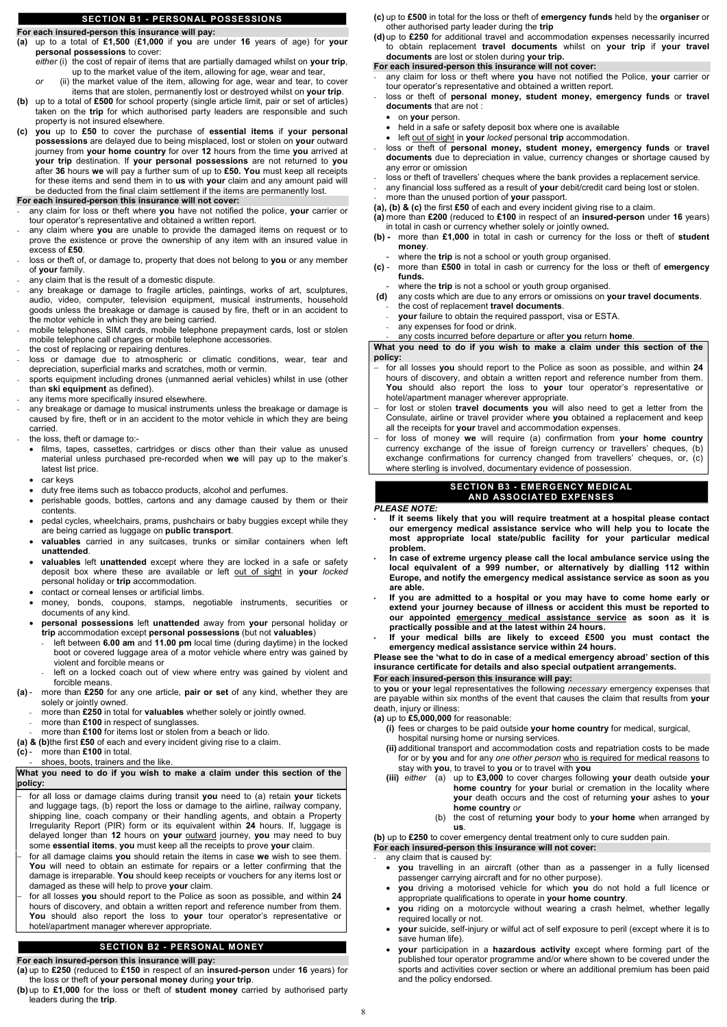### **SECTION B1 - PERSONAL POSSESSIONS**

### **For each insured-person this insurance will pay:**

- **(a)** up to a total of **£1,500** (**£1,000** if **you** are under **16** years of age) for **your personal possessions** to cover:
	- *either* (i) the cost of repair of items that are partially damaged whilst on **your trip**, up to the market value of the item, allowing for age, wear and tear,
	- *or* (ii) the market value of the item, allowing for age, wear and tear, to cover items that are stolen, permanently lost or destroyed whilst on **your trip**.
- **(b)** up to a total of **£500** for school property (single article limit, pair or set of articles) taken on the **trip** for which authorised party leaders are responsible and such property is not insured elsewhere.
- **(c) you** up to **£50** to cover the purchase of **essential items** if **your personal possessions** are delayed due to being misplaced, lost or stolen on **your** outward journey from **your home country** for over **12** hours from the time **you** arrived at **your trip** destination. If **your personal possessions** are not returned to **you** after **36** hours **we** will pay a further sum of up to **£50. You** must keep all receipts for these items and send them in to **us** with **your** claim and any amount paid will be deducted from the final claim settlement if the items are permanently lost.

### **For each insured-person this insurance will not cover:**

- any claim for loss or theft where **you** have not notified the police, **your** carrier or tour operator's representative and obtained a written report.
- any claim where **you** are unable to provide the damaged items on request or to prove the existence or prove the ownership of any item with an insured value in excess of **£50**.
- loss or theft of, or damage to, property that does not belong to you or any member of **your** family.
- any claim that is the result of a domestic dispute.
- any breakage or damage to fragile articles, paintings, works of art, sculptures, audio, video, computer, television equipment, musical instruments, household goods unless the breakage or damage is caused by fire, theft or in an accident to the motor vehicle in which they are being carried.
- mobile telephones, SIM cards, mobile telephone prepayment cards, lost or stolen mobile telephone call charges or mobile telephone accessories.
- the cost of replacing or repairing dentures.
- loss or damage due to atmospheric or climatic conditions, wear, tear and depreciation, superficial marks and scratches, moth or vermin.
- sports equipment including drones (unmanned aerial vehicles) whilst in use (other than **ski equipment** as defined).
- any items more specifically insured elsewhere.
- any breakage or damage to musical instruments unless the breakage or damage is caused by fire, theft or in an accident to the motor vehicle in which they are being carried.
- the loss, theft or damage to:-
	- films, tapes, cassettes, cartridges or discs other than their value as unused material unless purchased pre-recorded when **we** will pay up to the maker's latest list price.
	- car keys
	- duty free items such as tobacco products, alcohol and perfumes.
	- perishable goods, bottles, cartons and any damage caused by them or their contents.
	- pedal cycles, wheelchairs, prams, pushchairs or baby buggies except while they are being carried as luggage on **public transport**.
	- **valuables** carried in any suitcases, trunks or similar containers when left **unattended**.
	- **valuables** left **unattended** except where they are locked in a safe or safety deposit box where these are available or left out of sight in **your** *locked* personal holiday or **trip** accommodation.
	- contact or corneal lenses or artificial limbs.
	- money, bonds, coupons, stamps, negotiable instruments, securities or documents of any kind.
	- **personal possessions** left **unattended** away from **your** personal holiday or **trip** accommodation except **personal possessions** (but not **valuables**)
		- left between **6.00 am** and **11.00 pm** local time (during daytime) in the locked boot or covered luggage area of a motor vehicle where entry was gained by violent and forcible means or
		- left on a locked coach out of view where entry was gained by violent and forcible means.
- **(a)** more than **£250** for any one article, **pair or set** of any kind, whether they are solely or jointly owned.
	- more than **£250** in total for **valuables** whether solely or jointly owned.
	- more than £100 in respect of sunglasses.
- more than £100 for items lost or stolen from a beach or lido.
- **(a) & (b)**the first **£50** of each and every incident giving rise to a claim.
- **(c)** more than **£100** in total.
- shoes, boots, trainers and the like.

#### **What you need to do if you wish to make a claim under this section of the**

**policy:**

- − for all loss or damage claims during transit **you** need to (a) retain **your** tickets and luggage tags, (b) report the loss or damage to the airline, railway company, shipping line, coach company or their handling agents, and obtain a Property Irregularity Report (PIR) form or its equivalent within **24** hours. If, luggage is delayed longer than **12** hours on **your** outward journey, **you** may need to buy some **essential items**, **you** must keep all the receipts to prove **your** claim.
- − for all damage claims **you** should retain the items in case **we** wish to see them. **You** will need to obtain an estimate for repairs or a letter confirming that the damage is irreparable. **You** should keep receipts or vouchers for any items lost or damaged as these will help to prove **your** claim.
- − for all losses **you** should report to the Police as soon as possible, and within **24** hours of discovery, and obtain a written report and reference number from them. **You** should also report the loss to **your** tour operator's representative or hotel/apartment manager wherever appropriate.

### **SECTION B2 - PERSONAL MONEY**

**For each insured-person this insurance will pay:**

- **(a)** up to **£250** (reduced to **£150** in respect of an **insured-person** under **16** years) for the loss or theft of **your personal money** during **your trip**.
- **(b)**up to **£1,000** for the loss or theft of **student money** carried by authorised party leaders during the **trip**.
- **(c)** up to **£500** in total for the loss or theft of **emergency funds** held by the **organiser** or other authorised party leader during the **trip**
- **(d)**up to **£250** for additional travel and accommodation expenses necessarily incurred to obtain replacement **travel documents** whilst on **your trip** if **your travel documents** are lost or stolen during **your trip.**

### **For each insured-person this insurance will not cover:**

- any claim for loss or theft where **you** have not notified the Police, **your** carrier or tour operator's representative and obtained a written report.
- loss or theft of **personal money, student money, emergency funds** or **travel documents** that are not :
	- on **your** person.
	- held in a safe or safety deposit box where one is available
	- left out of sight in **your** *locked* personal **trip** accommodation.
- loss or theft of personal money, student money, emergency funds or travel **documents** due to depreciation in value, currency changes or shortage caused by any error or omission
- loss or theft of travellers' cheques where the bank provides a replacement service.
- any financial loss suffered as a result of **your** debit/credit card being lost or stolen.
- more than the unused portion of **your** passport.

**(a), (b) & (c)** the first **£50** of each and every incident giving rise to a claim.

- **(a)** more than **£200** (reduced to **£100** in respect of an **insured-person** under **16** years) in total in cash or currency whether solely or jointly owned**.**
- **(b)** more than **£1,000** in total in cash or currency for the loss or theft of **student money**.
	- where the *trip* is not a school or youth group organised.
- **(c)** more than **£500** in total in cash or currency for the loss or theft of **emergency funds.**
	- where the **trip** is not a school or youth group organised.
- **(d)** any costs which are due to any errors or omissions on **your travel documents**. - the cost of replacement **travel documents**.
	- your failure to obtain the required passport, visa or ESTA.
- any expenses for food or drink.
- any costs incurred before departure or after **you** return **home**.

**What you need to do if you wish to make a claim under this section of the policy:**

- − for all losses **you** should report to the Police as soon as possible, and within **24** hours of discovery, and obtain a written report and reference number from them. **You** should also report the loss to **your** tour operator's representative or hotel/apartment manager wherever appropriate.
- − for lost or stolen **travel documents you** will also need to get a letter from the Consulate, airline or travel provider where **you** obtained a replacement and keep all the receipts for **your** travel and accommodation expenses.
- − for loss of money **we** will require (a) confirmation from **your home country** currency exchange of the issue of foreign currency or travellers' cheques, (b) exchange confirmations for currency changed from travellers' cheques, or, (c) where sterling is involved, documentary evidence of possession.

### **SECTION B3 - EMERGENCY MEDICAL AND ASSOCIATED EXPENSES**

### *PLEASE NOTE:*

- **If it seems likely that you will require treatment at a hospital please contact our emergency medical assistance service who will help you to locate the most appropriate local state/public facility for your particular medical problem.**
- **In case of extreme urgency please call the local ambulance service using the local equivalent of a 999 number, or alternatively by dialling 112 within Europe, and notify the emergency medical assistance service as soon as you are able.**
- **If you are admitted to a hospital or you may have to come home early or extend your journey because of illness or accident this must be reported to our appointed emergency medical assistance service as soon as it is practically possible and at the latest within 24 hours.**
- **If your medical bills are likely to exceed £500 you must contact the emergency medical assistance service within 24 hours.**

**Please see the 'what to do in case of a medical emergency abroad' section of this insurance certificate for details and also special outpatient arrangements.**

### **For each insured-person this insurance will pay:**

to **you** or **your** legal representatives the following *necessary* emergency expenses that are payable within six months of the event that causes the claim that results from **your** death, injury or illness:

### **(a)** up to **£5,000,000** for reasonable:

- **(i)** fees or charges to be paid outside **your home country** for medical, surgical, hospital nursing home or nursing services.
- **(ii)** additional transport and accommodation costs and repatriation costs to be made for or by **you** and for any *one other person* who is required for medical reasons to stay with **you**, to travel to **you** or to travel with **you**
- 
- **(iii)** *either* (a) up to **£3,000** to cover charges following **your** death outside **your home country** for **your** burial or cremation in the locality where **your** death occurs and the cost of returning **your** ashes to **your home country** *or*
	- (b) the cost of returning **your** body to **your home** when arranged by **us**.

**(b)** up to **£250** to cover emergency dental treatment only to cure sudden pain. **For each insured-person this insurance will not cover:**

any claim that is caused by:

- **you** travelling in an aircraft (other than as a passenger in a fully licensed passenger carrying aircraft and for no other purpose).
- **you** driving a motorised vehicle for which **you** do not hold a full licence or appropriate qualifications to operate in **your home country**.
- **you** riding on a motorcycle without wearing a crash helmet, whether legally required locally or not.
- **your** suicide, self-injury or wilful act of self exposure to peril (except where it is to save human life).
- **your** participation in a **hazardous activity** except where forming part of the published tour operator programme and/or where shown to be covered under the sports and activities cover section or where an additional premium has been paid and the policy endorsed.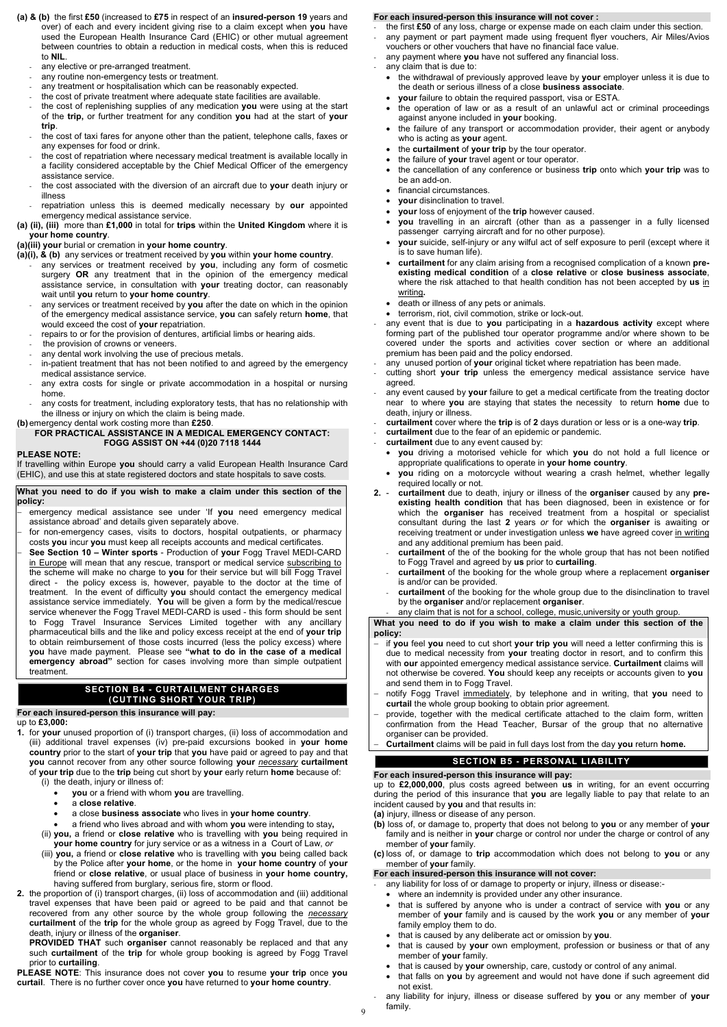- **(a) & (b)** the first **£50** (increased to **£75** in respect of an **insured-person 19** years and over) of each and every incident giving rise to a claim except when **you** have used the European Health Insurance Card (EHIC) or other mutual agreement between countries to obtain a reduction in medical costs, when this is reduced to **NIL**.
	- any elective or pre-arranged treatment.
	- any routine non-emergency tests or treatment.
	- any treatment or hospitalisation which can be reasonably expected.
	- the cost of private treatment where adequate state facilities are available.
	- the cost of replenishing supplies of any medication **you** were using at the start of the **trip,** or further treatment for any condition **you** had at the start of **your trip**.
	- the cost of taxi fares for anyone other than the patient, telephone calls, faxes or any expenses for food or drink.
	- the cost of repatriation where necessary medical treatment is available locally in a facility considered acceptable by the Chief Medical Officer of the emergency assistance service.
	- the cost associated with the diversion of an aircraft due to **your** death injury or illness
	- repatriation unless this is deemed medically necessary by our appointed emergency medical assistance service.
- **(a) (ii), (iii)** more than **£1,000** in total for **trips** within the **United Kingdom** where it is **your home country**.

- any services or treatment received by you, including any form of cosmetic surgery **OR** any treatment that in the opinion of the emergency medical assistance service, in consultation with **your** treating doctor, can reasonably wait until **you** return to **your home country**.
- any services or treatment received by you after the date on which in the opinion of the emergency medical assistance service, **you** can safely return **home**, that would exceed the cost of **your** repatriation.
- repairs to or for the provision of dentures, artificial limbs or hearing aids.
- the provision of crowns or veneers.
- any dental work involving the use of precious metals.
- in-patient treatment that has not been notified to and agreed by the emergency medical assistance service.
- any extra costs for single or private accommodation in a hospital or nursing home.
- any costs for treatment, including exploratory tests, that has no relationship with the illness or injury on which the claim is being made.

### **(a)(iii) your** burial or cremation in **your home country**.

**(a)(i), & (b)** any services or treatment received by **you** within **your home country**.

**(b)**emergency dental work costing more than **£250**.

### **FOR PRACTICAL ASSISTANCE IN A MEDICAL EMERGENCY CONTACT: FOGG ASSIST ON +44 (0)20 7118 1444**

### **PLEASE NOTE:**

If travelling within Europe **you** should carry a valid European Health Insurance Card (EHIC), and use this at state registered doctors and state hospitals to save costs**.**

#### **What you need to do if you wish to make a claim under this section of the policy:**

- − emergency medical assistance see under 'If **you** need emergency medical assistance abroad' and details given separately above.
- for non-emergency cases, visits to doctors, hospital outpatients, or pharmacy costs **you** incur **you** must keep all receipts accounts and medical certificates.
- − **See Section 10 Winter sports** Production of **your** Fogg Travel MEDI-CARD in Europe will mean that any rescue, transport or medical service subscribing to the scheme will make no charge to **you** for their service but will bill Fogg Travel direct - the policy excess is, however, payable to the doctor at the time of treatment. In the event of difficulty **you** should contact the emergency medical assistance service immediately. **You** will be given a form by the medical/rescue service whenever the Fogg Travel MEDI-CARD is used - this form should be sent to Fogg Travel Insurance Services Limited together with any ancillary pharmaceutical bills and the like and policy excess receipt at the end of **your trip** to obtain reimbursement of those costs incurred (less the policy excess) where **you** have made payment. Please see **"what to do in the case of a medical emergency abroad"** section for cases involving more than simple outpatient treatment.

### **SECTION B4 - CURTAILMENT CHARGES (CUTTING SHORT YOUR TRIP)**

### **For each insured-person this insurance will pay:**

up to **£3,000:**

**1.** for **your** unused proportion of (i) transport charges, (ii) loss of accommodation and (iii) additional travel expenses (iv) pre-paid excursions booked in **your home country** prior to the start of **your trip** that **you** have paid or agreed to pay and that **you** cannot recover from any other source following **your** *necessary* **curtailment** of **your trip** due to the **trip** being cut short by **your** early return **home** because of:

(i) the death, injury or illness of:

- **you** or a friend with whom **you** are travelling.
- a **close relative**.
- a close **business associate** who lives in **your home country**.
- a friend who lives abroad and with whom **you** were intending to stay**,**
- (ii) **you,** a friend or **close relative** who is travelling with **you** being required in
- **your home country** for jury service or as a witness in a Court of Law, *or* (iii) **you,** a friend or **close relative** who is travelling with **you** being called back by the Police after **your home**, or the home in **your home country** of **your** friend or **close relative**, or usual place of business in **your home country,** having suffered from burglary, serious fire, storm or flood.
- **2.** the proportion of (i) transport charges, (ii) loss of accommodation and (iii) additional travel expenses that have been paid or agreed to be paid and that cannot be recovered from any other source by the whole group following the *necessary* **curtailment** of the **trip** for the whole group as agreed by Fogg Travel, due to the death, injury or illness of the **organiser**.
	- **PROVIDED THAT** such **organiser** cannot reasonably be replaced and that any such **curtailment** of the **trip** for whole group booking is agreed by Fogg Travel prior to **curtailing**.
- **PLEASE NOTE**: This insurance does not cover **you** to resume **your trip** once **you curtail**. There is no further cover once **you** have returned to **your home country**.
- any liability for loss of or damage to property or injury, illness or disease:-
- where an indemnity is provided under any other insurance.
- that is suffered by anyone who is under a contract of service with **you** or any member of **your** family and is caused by the work **you** or any member of **your** family employ them to do.
- that is caused by any deliberate act or omission by **you**.
- that is caused by **your** own employment, profession or business or that of any member of **your** family.
- that is caused by **your** ownership, care, custody or control of any animal.
- that falls on **you** by agreement and would not have done if such agreement did not exist.
- any liability for injury, illness or disease suffered by **you** or any member of **your** family.

### **For each insured-person this insurance will not cover :**

- the first **£50** of any loss, charge or expense made on each claim under this section.
- any payment or part payment made using frequent flyer vouchers, Air Miles/Avios vouchers or other vouchers that have no financial face value.
- any payment where you have not suffered any financial loss.
- any claim that is due to:
	- the withdrawal of previously approved leave by **your** employer unless it is due to the death or serious illness of a close **business associate**.
	- **your** failure to obtain the required passport, visa or ESTA.
	- the operation of law or as a result of an unlawful act or criminal proceedings against anyone included in **your** booking.
	- the failure of any transport or accommodation provider, their agent or anybody who is acting as **your** agent.
	- the **curtailment** of **your trip** by the tour operator.
	- the failure of **your** travel agent or tour operator.
	- the cancellation of any conference or business **trip** onto which **your trip** was to be an add-on.
	- financial circumstances.
	- **your** disinclination to travel.
	- **your** loss of enjoyment of the **trip** however caused.
	- **you** travelling in an aircraft (other than as a passenger in a fully licensed passenger carrying aircraft and for no other purpose).
	- **your** suicide, self-injury or any wilful act of self exposure to peril (except where it is to save human life).
	- **curtailment** for any claim arising from a recognised complication of a known **preexisting medical condition** of a **close relative** or **close business associate**, where the risk attached to that health condition has not been accepted by **us** in writing**.**
	- death or illness of any pets or animals.
	- terrorism, riot, civil commotion, strike or lock-out.
- any event that is due to **you** participating in a **hazardous activity** except where forming part of the published tour operator programme and/or where shown to be covered under the sports and activities cover section or where an additional premium has been paid and the policy endorsed.
- any unused portion of your original ticket where repatriation has been made.
- cutting short your trip unless the emergency medical assistance service have agreed.
- any event caused by **your** failure to get a medical certificate from the treating doctor near to where **you** are staying that states the necessity to return **home** due to death, injury or illness.
- **curtailment** cover where the **trip** is of **2** days duration or less or is a one-way **trip**.
- curtailment due to the fear of an epidemic or pandemic.
- curtailment due to any event caused by:
	- **you** driving a motorised vehicle for which **you** do not hold a full licence or appropriate qualifications to operate in **your home country**.
	- **you** riding on a motorcycle without wearing a crash helmet, whether legally required locally or not.
- **2. curtailment** due to death, injury or illness of the **organiser** caused by any **preexisting health condition** that has been diagnosed, been in existence or for which the **organiser** has received treatment from a hospital or specialist consultant during the last **2** years *or* for which the **organiser** is awaiting or receiving treatment or under investigation unless **we** have agreed cover in writing and any additional premium has been paid.
	- curtailment of the of the booking for the whole group that has not been notified to Fogg Travel and agreed by **us** prior to **curtailing**.
	- **curtailment** of the booking for the whole group where a replacement **organiser** is and/or can be provided.
	- **curtailment** of the booking for the whole group due to the disinclination to travel by the **organiser** and/or replacement **organiser**.
	- any claim that is not for a school, college, music, university or youth group.

**What you need to do if you wish to make a claim under this section of the policy:**

- − if **you** feel **you** need to cut short **your trip you** will need a letter confirming this is due to medical necessity from **your** treating doctor in resort, and to confirm this with **our** appointed emergency medical assistance service. **Curtailment** claims will not otherwise be covered. **You** should keep any receipts or accounts given to **you** and send them in to Fogg Travel.
- − notify Fogg Travel immediately, by telephone and in writing, that **you** need to **curtail** the whole group booking to obtain prior agreement.
- − provide, together with the medical certificate attached to the claim form, written confirmation from the Head Teacher, Bursar of the group that no alternative organiser can be provided.
	- − **Curtailment** claims will be paid in full days lost from the day **you** return **home.**

### **SECTION B5 - PERSONAL LIABILITY**

#### **For each insured-person this insurance will pay:**

up to **£2,000,000**, plus costs agreed between **us** in writing, for an event occurring during the period of this insurance that **you** are legally liable to pay that relate to an incident caused by **you** and that results in:

**(a)** injury, illness or disease of any person.

- **(b)** loss of, or damage to, property that does not belong to **you** or any member of **your** family and is neither in **your** charge or control nor under the charge or control of any member of **your** family.
- **(c)** loss of, or damage to **trip** accommodation which does not belong to **you** or any member of **your** family.

#### **For each insured-person this insurance will not cover:**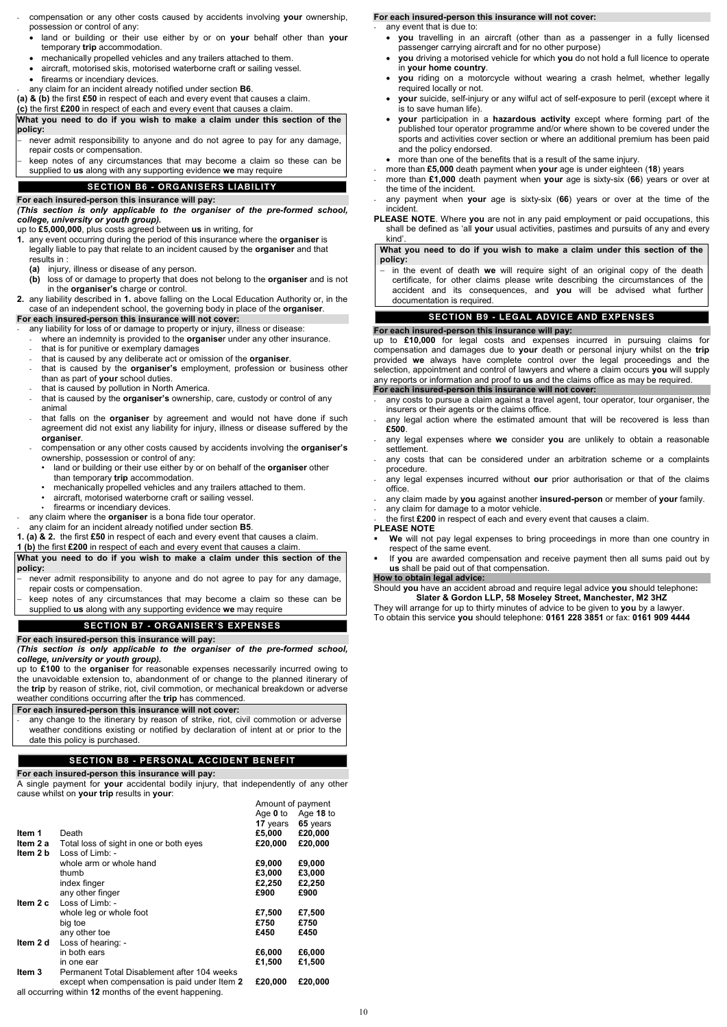- compensation or any other costs caused by accidents involving **your** ownership, possession or control of any:
	- land or building or their use either by or on **your** behalf other than **your** temporary **trip** accommodation.
	- mechanically propelled vehicles and any trailers attached to them.
	- aircraft, motorised skis, motorised waterborne craft or sailing vessel.
	- firearms or incendiary devices.
- any claim for an incident already notified under section **B6**.
- **(a) & (b)** the first **£50** in respect of each and every event that causes a claim.
- **(c)** the first **£200** in respect of each and every event that causes a claim.

- never admit responsibility to anyone and do not agree to pay for any damage, repair costs or compensation.
- keep notes of any circumstances that may become a claim so these can be supplied to **us** along with any supporting evidence **we** may require

**What you need to do if you wish to make a claim under this section of the policy:**

### **SECTION B6 - ORGANISERS LIABILITY**

### **For each insured-person this insurance will pay:**

*(This section is only applicable to the organiser of the pre-formed school, college, university or youth group).*

up to **£5,000,000**, plus costs agreed between **us** in writing, for

- **1.** any event occurring during the period of this insurance where the **organiser** is legally liable to pay that relate to an incident caused by the **organiser** and that results in :
	- **(a)** injury, illness or disease of any person.
	- **(b)** loss of or damage to property that does not belong to the **organiser** and is not in the **organiser's** charge or control.
- **2.** any liability described in **1.** above falling on the Local Education Authority or, in the case of an independent school, the governing body in place of the **organiser**.

- any liability for loss of or damage to property or injury, illness or disease:
- where an indemnity is provided to the **organise**r under any other insurance.
- that is for punitive or exemplary damages
- that is caused by any deliberate act or omission of the **organiser**.
- that is caused by the **organiser's** employment, profession or business other than as part of **your** school duties.
- that is caused by pollution in North America.
- that is caused by the **organiser's** ownership, care, custody or control of any animal
- that falls on the **organiser** by agreement and would not have done if such agreement did not exist any liability for injury, illness or disease suffered by the **organiser**.
- compensation or any other costs caused by accidents involving the **organiser's** ownership, possession or control of any:
	- land or building or their use either by or on behalf of the **organiser** other than temporary **trip** accommodation.
	- mechanically propelled vehicles and any trailers attached to them.
	- aircraft, motorised waterborne craft or sailing vessel.
	- firearms or incendiary devices.
- any claim where the **organiser** is a bona fide tour operator.
- any claim for an incident already notified under section **B5**.
- **1. (a) & 2.** the first **£50** in respect of each and every event that causes a claim.

- never admit responsibility to anyone and do not agree to pay for any damage, repair costs or compensation.
- keep notes of any circumstances that may become a claim so these can be supplied to **us** along with any supporting evidence **we** may require

### **For each insured-person this insurance will not cover:**

any change to the itinerary by reason of strike, riot, civil commotion or adverse weather conditions existing or notified by declaration of intent at or prior to the date this policy is purchased.

## **1 (b)** the first **£200** in respect of each and every event that causes a claim.

### **What you need to do if you wish to make a claim under this section of the policy:**

- any event that is due to:
- **you** travelling in an aircraft (other than as a passenger in a fully licensed passenger carrying aircraft and for no other purpose)
- **you** driving a motorised vehicle for which **you** do not hold a full licence to operate in **your home country**.
- **you** riding on a motorcycle without wearing a crash helmet, whether legally required locally or not.
- **your** suicide, self-injury or any wilful act of self-exposure to peril (except where it is to save human life).
- **your** participation in a **hazardous activity** except where forming part of the published tour operator programme and/or where shown to be covered under the sports and activities cover section or where an additional premium has been paid and the policy endorsed.
- more than one of the benefits that is a result of the same injury.
- more than **£5,000** death payment when **your** age is under eighteen (**18**) years
- more than **£1,000** death payment when **your** age is sixty-six (**66**) years or over at the time of the incident.
- any payment when **your** age is sixty-six (**66**) years or over at the time of the incident.
- **PLEASE NOTE**. Where **you** are not in any paid employment or paid occupations, this shall be defined as 'all **your** usual activities, pastimes and pursuits of any and every kind'.

# **SECTION B7 - ORGANISER'S EXPENSES**

# **For each insured-person this insurance will pay:**

### *(This section is only applicable to the organiser of the pre-formed school, college, university or youth group).*

up to **£100** to the **organiser** for reasonable expenses necessarily incurred owing to the unavoidable extension to, abandonment of or change to the planned itinerary of the **trip** by reason of strike, riot, civil commotion, or mechanical breakdown or adverse weather conditions occurring after the **trip** has commenced.

- any costs to pursue a claim against a travel agent, tour operator, tour organiser, the insurers or their agents or the claims office.
- any legal action where the estimated amount that will be recovered is less than **£500**.
- any legal expenses where **we** consider **you** are unlikely to obtain a reasonable settlement.
- any costs that can be considered under an arbitration scheme or a complaints procedure.
- any legal expenses incurred without **our** prior authorisation or that of the claims office.
- any claim made by **you** against another **insured-person** or member of **your** family.
- any claim for damage to a motor vehicle.
- the first **£200** in respect of each and every event that causes a claim.

# **For each insured-person this insurance will not cover:**

# **SECTION B8 - PERSONAL ACCIDENT BENEFIT**

### **For each insured-person this insurance will pay:**

A single payment for **your** accidental bodily injury, that independently of any other cause whilst on **your trip** results in **your**:

Amount of payment

|          |                                                        | Age $0$ to<br><b>17</b> years | Age $18$ to<br>65 years |
|----------|--------------------------------------------------------|-------------------------------|-------------------------|
| Item 1   | Death                                                  | £5,000                        | £20,000                 |
| Item 2 a | Total loss of sight in one or both eyes                | £20,000                       | £20,000                 |
| Item 2 b | Loss of Limb: -                                        |                               |                         |
|          | whole arm or whole hand                                | £9,000                        | £9,000                  |
|          | thumb                                                  | £3,000                        | £3,000                  |
|          | index finger                                           | £2,250                        | £2,250                  |
|          | any other finger                                       | £900                          | £900                    |
| Item 2 c | Loss of Limb: -                                        |                               |                         |
|          | whole leg or whole foot                                | £7,500                        | £7,500                  |
|          | big toe                                                | £750                          | £750                    |
|          | any other toe                                          | £450                          | £450                    |
| Item 2 d | Loss of hearing: -                                     |                               |                         |
|          | in both ears                                           | £6,000                        | £6,000                  |
|          | in one ear                                             | £1,500                        | £1,500                  |
| Item 3   | Permanent Total Disablement after 104 weeks            |                               |                         |
|          | except when compensation is paid under Item 2          | £20,000                       | £20,000                 |
|          | all occurring within 12 months of the event happening. |                               |                         |

### **For each insured-person this insurance will not cover:**

### **What you need to do if you wish to make a claim under this section of the policy:**

− in the event of death **we** will require sight of an original copy of the death certificate, for other claims please write describing the circumstances of the accident and its consequences, and **you** will be advised what further documentation is required.

### **SECTION B9 - LEGAL ADVICE AND EXPENSES**

### **For each insured-person this insurance will pay:**

up to **£10,000** for legal costs and expenses incurred in pursuing claims for compensation and damages due to **your** death or personal injury whilst on the **trip** provided **we** always have complete control over the legal proceedings and the selection, appointment and control of lawyers and where a claim occurs **you** will supply any reports or information and proof to **us** and the claims office as may be required.

### **For each insured-person this insurance will not cover:**

### **PLEASE NOTE**

- **We** will not pay legal expenses to bring proceedings in more than one country in respect of the same event.
- If **you** are awarded compensation and receive payment then all sums paid out by **us** shall be paid out of that compensation.

### **How to obtain legal advice:**

Should **you** have an accident abroad and require legal advice **you** should telephone**: Slater & Gordon LLP, 58 Moseley Street, Manchester, M2 3HZ**

They will arrange for up to thirty minutes of advice to be given to **you** by a lawyer. To obtain this service **you** should telephone: **0161 228 3851** or fax: **0161 909 4444**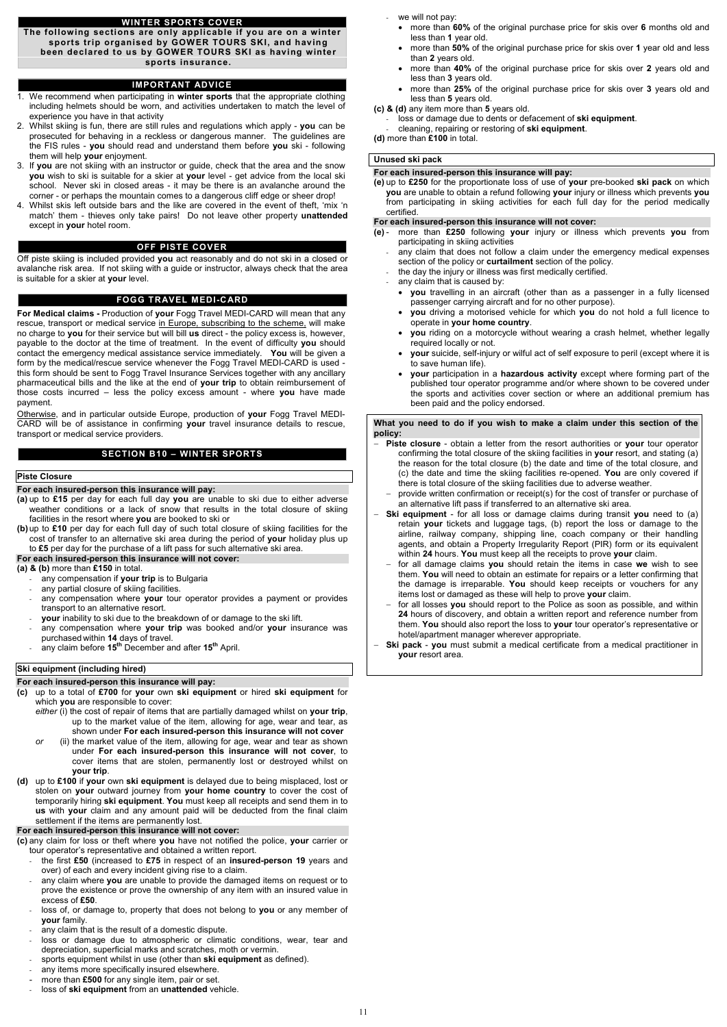#### **WINTER SPORTS COVER**

**The following sections are only applicable if you are on a winter sports trip organised by GOWER TOURS SKI, and having been declared to us by GOWER TOURS SKI as having winter sports insurance.**

#### **IMPORTANT ADVICE**

- 1. We recommend when participating in **winter sports** that the appropriate clothing including helmets should be worn, and activities undertaken to match the level of experience you have in that activity
- 2. Whilst skiing is fun, there are still rules and regulations which apply **you** can be prosecuted for behaving in a reckless or dangerous manner. The guidelines are the FIS rules - **you** should read and understand them before **you** ski - following them will help **your** enjoyment.
- 3. If **you** are not skiing with an instructor or guide, check that the area and the snow **you** wish to ski is suitable for a skier at **your** level - get advice from the local ski school. Never ski in closed areas - it may be there is an avalanche around the corner - or perhaps the mountain comes to a dangerous cliff edge or sheer drop!
- 4. Whilst skis left outside bars and the like are covered in the event of theft, 'mix 'n match' them - thieves only take pairs! Do not leave other property **unattended** except in **your** hotel room.

### **OFF PISTE COVER**

Off piste skiing is included provided **you** act reasonably and do not ski in a closed or avalanche risk area. If not skiing with a guide or instructor, always check that the area is suitable for a skier at **your** level.

### **FOGG TRAVEL MEDI-CARD**

**For Medical claims -** Production of **your** Fogg Travel MEDI-CARD will mean that any rescue, transport or medical service in Europe, subscribing to the scheme, will make no charge to **you** for their service but will bill **us** direct - the policy excess is, however, payable to the doctor at the time of treatment. In the event of difficulty **you** should contact the emergency medical assistance service immediately. **You** will be given a form by the medical/rescue service whenever the Fogg Travel MEDI-CARD is used this form should be sent to Fogg Travel Insurance Services together with any ancillary pharmaceutical bills and the like at the end of **your trip** to obtain reimbursement of those costs incurred – less the policy excess amount - where **you** have made payment.

Otherwise, and in particular outside Europe, production of **your** Fogg Travel MEDI-CARD will be of assistance in confirming **your** travel insurance details to rescue, transport or medical service providers.

- the first **£50** (increased to **£75** in respect of an **insured-person 19** years and over) of each and every incident giving rise to a claim.
- any claim where **you** are unable to provide the damaged items on request or to prove the existence or prove the ownership of any item with an insured value in excess of **£50**.
- loss of, or damage to, property that does not belong to you or any member of **your** family.
- any claim that is the result of a domestic dispute.
- loss or damage due to atmospheric or climatic conditions, wear, tear and depreciation, superficial marks and scratches, moth or vermin.
- sports equipment whilst in use (other than **ski equipment** as defined).
- any items more specifically insured elsewhere.
- more than £500 for any single item, pair or set.
- loss of ski equipment from an unattended vehicle.

### **SECTION B10 – WINTER SPORTS**

#### **Piste Closure**

#### **For each insured-person this insurance will pay:**

- **(a)** up to **£15** per day for each full day **you** are unable to ski due to either adverse weather conditions or a lack of snow that results in the total closure of skiing facilities in the resort where **you** are booked to ski or
- **(b)**up to **£10** per day for each full day of such total closure of skiing facilities for the cost of transfer to an alternative ski area during the period of **your** holiday plus up to **£5** per day for the purchase of a lift pass for such alternative ski area.

### **For each insured-person this insurance will not cover:**

**(a) & (b)** more than **£150** in total.

- any compensation if **your trip** is to Bulgaria
- any partial closure of skiing facilities.
- any compensation where your tour operator provides a payment or provides transport to an alternative resort.
- **your** inability to ski due to the breakdown of or damage to the ski lift.
- any compensation where **your trip** was booked and/or **your** insurance was purchased within **14** days of travel.
- any claim before **15th** December and after **15th** April.

### **Ski equipment (including hired)**

# **For each insured-person this insurance will pay:**

- **(c)** up to a total of **£700** for **your** own **ski equipment** or hired **ski equipment** for which **you** are responsible to cover:
	- *either* (i) the cost of repair of items that are partially damaged whilst on **your trip**, up to the market value of the item, allowing for age, wear and tear, as shown under **For each insured-person this insurance will not cover**
- *or* (ii) the market value of the item, allowing for age, wear and tear as shown under **For each insured-person this insurance will not cover**, to cover items that are stolen, permanently lost or destroyed whilst on **your trip**. **(d)** up to **£100** if **your** own **ski equipment** is delayed due to being misplaced, lost or stolen on **your** outward journey from **your home country** to cover the cost of temporarily hiring **ski equipment**. **You** must keep all receipts and send them in to **us** with **your** claim and any amount paid will be deducted from the final claim settlement if the items are permanently lost.

we will not pay:

#### **For each insured-person this insurance will not cover:**

**(c)** any claim for loss or theft where **you** have not notified the police, **your** carrier or tour operator's representative and obtained a written report.

- more than **60%** of the original purchase price for skis over **6** months old and less than **1** year old.
- more than **50%** of the original purchase price for skis over **1** year old and less than **2** years old.
- more than **40%** of the original purchase price for skis over **2** years old and less than **3** years old.
- more than **25%** of the original purchase price for skis over **3** years old and less than **5** years old.
- **(c) & (d)** any item more than **5** years old.
	- loss or damage due to dents or defacement of **ski equipment**.
- cleaning, repairing or restoring of **ski equipment**.

**(d)** more than **£100** in total.

### **Unused ski pack**

#### **For each insured-person this insurance will pay:**

**(e)** up to **£250** for the proportionate loss of use of **your** pre-booked **ski pack** on which **you** are unable to obtain a refund following **your** injury or illness which prevents **you** from participating in skiing activities for each full day for the period medically certified.

#### **For each insured-person this insurance will not cover:**

- **(e)** more than **£250** following **your** injury or illness which prevents **you** from participating in skiing activities
	- any claim that does not follow a claim under the emergency medical expenses section of the policy or **curtailment** section of the policy.
	- the day the injury or illness was first medically certified.
	- any claim that is caused by:
		- **you** travelling in an aircraft (other than as a passenger in a fully licensed passenger carrying aircraft and for no other purpose).
		- **you** driving a motorised vehicle for which **you** do not hold a full licence to operate in **your home country**.
		- **you** riding on a motorcycle without wearing a crash helmet, whether legally required locally or not.
		- **your** suicide, self-injury or wilful act of self exposure to peril (except where it is to save human life).
		- **your** participation in a **hazardous activity** except where forming part of the published tour operator programme and/or where shown to be covered under the sports and activities cover section or where an additional premium has been paid and the policy endorsed.

**What you need to do if you wish to make a claim under this section of the policy:**

- − **Piste closure** obtain a letter from the resort authorities or **your** tour operator confirming the total closure of the skiing facilities in **your** resort, and stating (a) the reason for the total closure (b) the date and time of the total closure, and (c) the date and time the skiing facilities re-opened. **You** are only covered if there is total closure of the skiing facilities due to adverse weather.
- − provide written confirmation or receipt(s) for the cost of transfer or purchase of an alternative lift pass if transferred to an alternative ski area.
- **Ski equipment** for all loss or damage claims during transit you need to (a) retain **your** tickets and luggage tags, (b) report the loss or damage to the airline, railway company, shipping line, coach company or their handling agents, and obtain a Property Irregularity Report (PIR) form or its equivalent within **24** hours. **You** must keep all the receipts to prove **your** claim.
- − for all damage claims **you** should retain the items in case **we** wish to see them. **You** will need to obtain an estimate for repairs or a letter confirming that the damage is irreparable. **You** should keep receipts or vouchers for any items lost or damaged as these will help to prove **your** claim.
- for all losses you should report to the Police as soon as possible, and within **24** hours of discovery, and obtain a written report and reference number from them. **You** should also report the loss to **your** tour operator's representative or hotel/apartment manager wherever appropriate.
- **Ski pack** you must submit a medical certificate from a medical practitioner in **your** resort area.